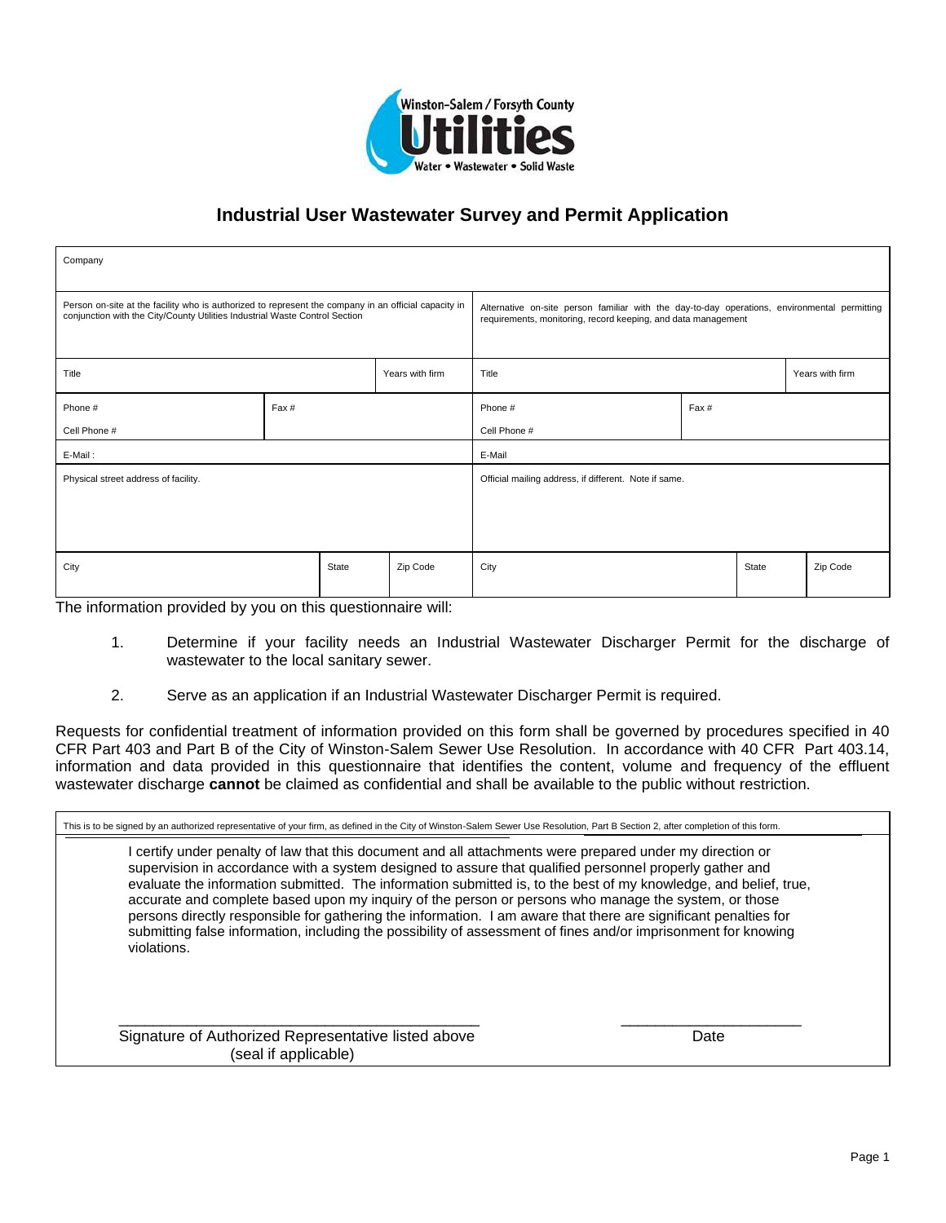

| Company                                                                                                                                                                             |       |       |                                                       |                                                                                                                                                               |  |       |          |
|-------------------------------------------------------------------------------------------------------------------------------------------------------------------------------------|-------|-------|-------------------------------------------------------|---------------------------------------------------------------------------------------------------------------------------------------------------------------|--|-------|----------|
| Person on-site at the facility who is authorized to represent the company in an official capacity in<br>conjunction with the City/County Utilities Industrial Waste Control Section |       |       |                                                       | Alternative on-site person familiar with the day-to-day operations, environmental permitting<br>requirements, monitoring, record keeping, and data management |  |       |          |
| Title<br>Years with firm                                                                                                                                                            |       |       | Title<br>Years with firm                              |                                                                                                                                                               |  |       |          |
| Phone #                                                                                                                                                                             | Fax # |       |                                                       | Phone #<br>Fax #                                                                                                                                              |  |       |          |
| Cell Phone #                                                                                                                                                                        |       |       |                                                       | Cell Phone #                                                                                                                                                  |  |       |          |
| E-Mail:                                                                                                                                                                             |       |       |                                                       | E-Mail                                                                                                                                                        |  |       |          |
| Physical street address of facility.                                                                                                                                                |       |       | Official mailing address, if different. Note if same. |                                                                                                                                                               |  |       |          |
|                                                                                                                                                                                     |       |       |                                                       |                                                                                                                                                               |  |       |          |
| City                                                                                                                                                                                |       | State | Zip Code                                              | City                                                                                                                                                          |  | State | Zip Code |

The information provided by you on this questionnaire will:

- 1. Determine if your facility needs an Industrial Wastewater Discharger Permit for the discharge of wastewater to the local sanitary sewer.
- 2. Serve as an application if an Industrial Wastewater Discharger Permit is required.

Requests for confidential treatment of information provided on this form shall be governed by procedures specified in 40 CFR Part 403 and Part B of the City of Winston-Salem Sewer Use Resolution. In accordance with 40 CFR Part 403.14, information and data provided in this questionnaire that identifies the content, volume and frequency of the effluent wastewater discharge **cannot** be claimed as confidential and shall be available to the public without restriction.

| This is to be signed by an authorized representative of your firm, as defined in the City of Winston-Salem Sewer Use Resolution, Part B Section 2, after completion of this form.                                                                                                                                                                                                                                                                                                                                                                                                                                                                                                                  |      |
|----------------------------------------------------------------------------------------------------------------------------------------------------------------------------------------------------------------------------------------------------------------------------------------------------------------------------------------------------------------------------------------------------------------------------------------------------------------------------------------------------------------------------------------------------------------------------------------------------------------------------------------------------------------------------------------------------|------|
| certify under penalty of law that this document and all attachments were prepared under my direction or<br>supervision in accordance with a system designed to assure that qualified personnel properly gather and<br>evaluate the information submitted. The information submitted is, to the best of my knowledge, and belief, true,<br>accurate and complete based upon my inquiry of the person or persons who manage the system, or those<br>persons directly responsible for gathering the information. I am aware that there are significant penalties for<br>submitting false information, including the possibility of assessment of fines and/or imprisonment for knowing<br>violations. |      |
| Signature of Authorized Representative listed above<br>(seal if applicable)                                                                                                                                                                                                                                                                                                                                                                                                                                                                                                                                                                                                                        | Date |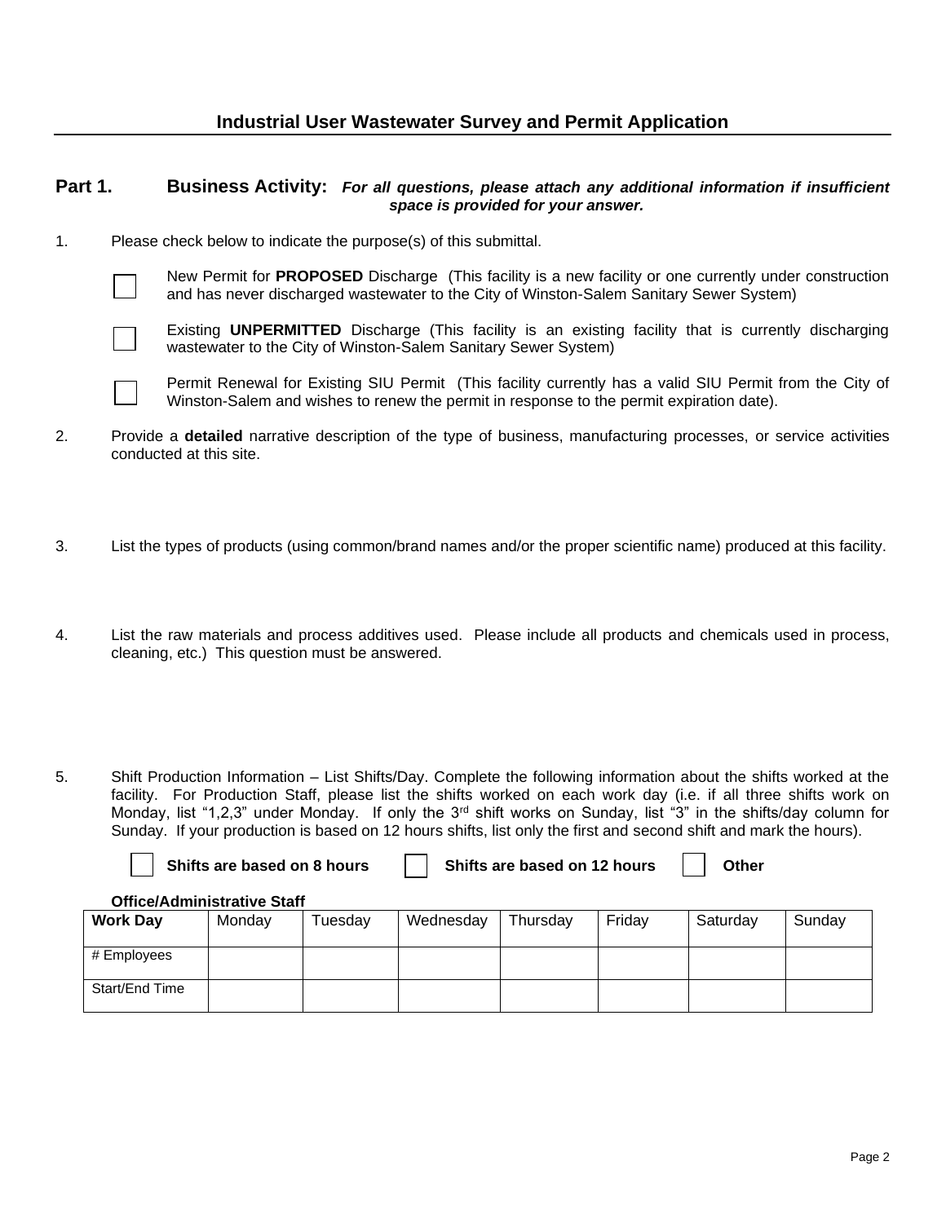#### **Part 1. Business Activity:** *For all questions, please attach any additional information if insufficient space is provided for your answer.*

1. Please check below to indicate the purpose(s) of this submittal.



New Permit for **PROPOSED** Discharge (This facility is a new facility or one currently under construction and has never discharged wastewater to the City of Winston-Salem Sanitary Sewer System)



Existing **UNPERMITTED** Discharge (This facility is an existing facility that is currently discharging wastewater to the City of Winston-Salem Sanitary Sewer System)



Start/End Time

Permit Renewal for Existing SIU Permit (This facility currently has a valid SIU Permit from the City of Winston-Salem and wishes to renew the permit in response to the permit expiration date).

- 2. Provide a **detailed** narrative description of the type of business, manufacturing processes, or service activities conducted at this site.
- 3. List the types of products (using common/brand names and/or the proper scientific name) produced at this facility.
- 4. List the raw materials and process additives used. Please include all products and chemicals used in process, cleaning, etc.) This question must be answered.
- 5. Shift Production Information List Shifts/Day. Complete the following information about the shifts worked at the facility. For Production Staff, please list the shifts worked on each work day (i.e. if all three shifts work on Monday, list "1,2,3" under Monday. If only the 3rd shift works on Sunday, list "3" in the shifts/day column for Sunday. If your production is based on 12 hours shifts, list only the first and second shift and mark the hours).

| Shifts are based on 8 hours        |        |         |           | Shifts are based on 12 hours |        | Other    |        |  |
|------------------------------------|--------|---------|-----------|------------------------------|--------|----------|--------|--|
| <b>Office/Administrative Staff</b> |        |         |           |                              |        |          |        |  |
| <b>Work Day</b>                    | Monday | Tuesday | Wednesday | Thursday                     | Friday | Saturday | Sunday |  |
| # Employees                        |        |         |           |                              |        |          |        |  |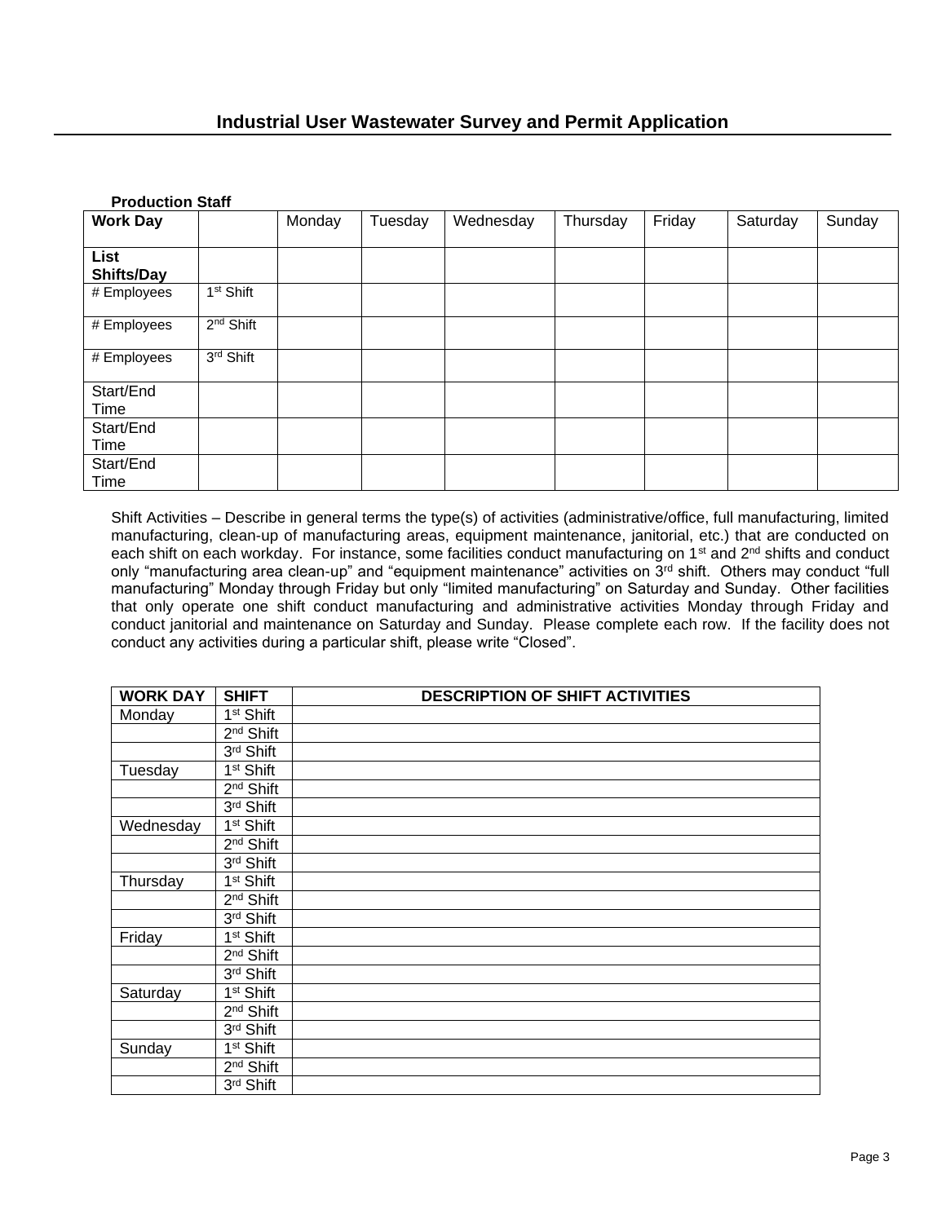| <b>Production Staff</b> |                       |        |         |           |          |        |          |        |
|-------------------------|-----------------------|--------|---------|-----------|----------|--------|----------|--------|
| <b>Work Day</b>         |                       | Monday | Tuesday | Wednesday | Thursday | Friday | Saturday | Sunday |
| List<br>Shifts/Day      |                       |        |         |           |          |        |          |        |
| # Employees             | 1 <sup>st</sup> Shift |        |         |           |          |        |          |        |
| # Employees             | 2 <sup>nd</sup> Shift |        |         |           |          |        |          |        |
| # Employees             | 3rd Shift             |        |         |           |          |        |          |        |
| Start/End<br>Time       |                       |        |         |           |          |        |          |        |
| Start/End<br>Time       |                       |        |         |           |          |        |          |        |
| Start/End<br>Time       |                       |        |         |           |          |        |          |        |

Shift Activities – Describe in general terms the type(s) of activities (administrative/office, full manufacturing, limited manufacturing, clean-up of manufacturing areas, equipment maintenance, janitorial, etc.) that are conducted on each shift on each workday. For instance, some facilities conduct manufacturing on 1<sup>st</sup> and 2<sup>nd</sup> shifts and conduct only "manufacturing area clean-up" and "equipment maintenance" activities on 3rd shift. Others may conduct "full manufacturing" Monday through Friday but only "limited manufacturing" on Saturday and Sunday. Other facilities that only operate one shift conduct manufacturing and administrative activities Monday through Friday and conduct janitorial and maintenance on Saturday and Sunday. Please complete each row. If the facility does not conduct any activities during a particular shift, please write "Closed".

| <b>WORK DAY</b> | <b>SHIFT</b>          | <b>DESCRIPTION OF SHIFT ACTIVITIES</b> |
|-----------------|-----------------------|----------------------------------------|
| Monday          | 1 <sup>st</sup> Shift |                                        |
|                 | 2 <sup>nd</sup> Shift |                                        |
|                 | 3rd Shift             |                                        |
| Tuesday         | 1 <sup>st</sup> Shift |                                        |
|                 | 2 <sup>nd</sup> Shift |                                        |
|                 | 3rd Shift             |                                        |
| Wednesday       | 1 <sup>st</sup> Shift |                                        |
|                 | 2 <sup>nd</sup> Shift |                                        |
|                 | 3rd Shift             |                                        |
| Thursday        | 1 <sup>st</sup> Shift |                                        |
|                 | 2 <sup>nd</sup> Shift |                                        |
|                 | 3rd Shift             |                                        |
| Friday          | 1 <sup>st</sup> Shift |                                        |
|                 | 2 <sup>nd</sup> Shift |                                        |
|                 | 3rd Shift             |                                        |
| Saturday        | 1 <sup>st</sup> Shift |                                        |
|                 | 2 <sup>nd</sup> Shift |                                        |
|                 | 3rd Shift             |                                        |
| Sunday          | 1 <sup>st</sup> Shift |                                        |
|                 | 2 <sup>nd</sup> Shift |                                        |
|                 | 3rd Shift             |                                        |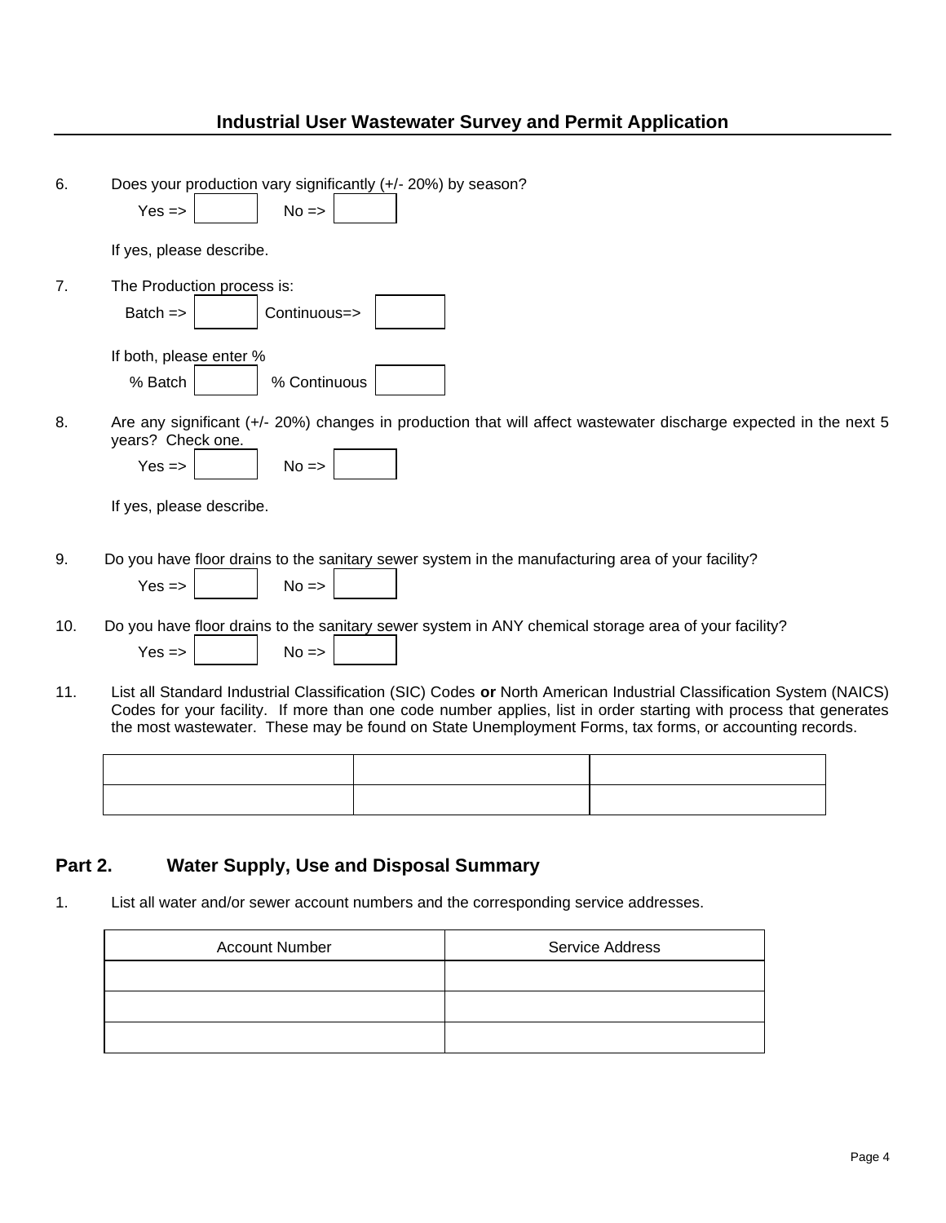| 6.      | Does your production vary significantly (+/- 20%) by season?                                                                                                                                                                                                                                                                                      |  |  |  |  |  |
|---------|---------------------------------------------------------------------------------------------------------------------------------------------------------------------------------------------------------------------------------------------------------------------------------------------------------------------------------------------------|--|--|--|--|--|
|         | $Yes = >$<br>$No \Rightarrow$                                                                                                                                                                                                                                                                                                                     |  |  |  |  |  |
|         | If yes, please describe.                                                                                                                                                                                                                                                                                                                          |  |  |  |  |  |
| 7.      | The Production process is:                                                                                                                                                                                                                                                                                                                        |  |  |  |  |  |
|         | Batch $=$<br>Continuous=>                                                                                                                                                                                                                                                                                                                         |  |  |  |  |  |
|         | If both, please enter %                                                                                                                                                                                                                                                                                                                           |  |  |  |  |  |
|         | % Batch<br>% Continuous                                                                                                                                                                                                                                                                                                                           |  |  |  |  |  |
| 8.      | Are any significant (+/- 20%) changes in production that will affect wastewater discharge expected in the next 5<br>years? Check one.                                                                                                                                                                                                             |  |  |  |  |  |
|         | $Yes = >$<br>$No \Rightarrow$                                                                                                                                                                                                                                                                                                                     |  |  |  |  |  |
|         | If yes, please describe.                                                                                                                                                                                                                                                                                                                          |  |  |  |  |  |
| 9.      | Do you have floor drains to the sanitary sewer system in the manufacturing area of your facility?                                                                                                                                                                                                                                                 |  |  |  |  |  |
|         | $Yes = >$<br>$No \Rightarrow$                                                                                                                                                                                                                                                                                                                     |  |  |  |  |  |
| 10.     | Do you have floor drains to the sanitary sewer system in ANY chemical storage area of your facility?                                                                                                                                                                                                                                              |  |  |  |  |  |
|         | $Yes =$<br>$No \Rightarrow$                                                                                                                                                                                                                                                                                                                       |  |  |  |  |  |
| 11.     | List all Standard Industrial Classification (SIC) Codes or North American Industrial Classification System (NAICS)<br>Codes for your facility. If more than one code number applies, list in order starting with process that generates<br>the most wastewater. These may be found on State Unemployment Forms, tax forms, or accounting records. |  |  |  |  |  |
|         |                                                                                                                                                                                                                                                                                                                                                   |  |  |  |  |  |
|         |                                                                                                                                                                                                                                                                                                                                                   |  |  |  |  |  |
|         |                                                                                                                                                                                                                                                                                                                                                   |  |  |  |  |  |
| Part 2. |                                                                                                                                                                                                                                                                                                                                                   |  |  |  |  |  |
|         | <b>Water Supply, Use and Disposal Summary</b>                                                                                                                                                                                                                                                                                                     |  |  |  |  |  |
| 1.      | List all water and/or sewer account numbers and the corresponding service addresses.                                                                                                                                                                                                                                                              |  |  |  |  |  |

| <b>Account Number</b> | Service Address |
|-----------------------|-----------------|
|                       |                 |
|                       |                 |
|                       |                 |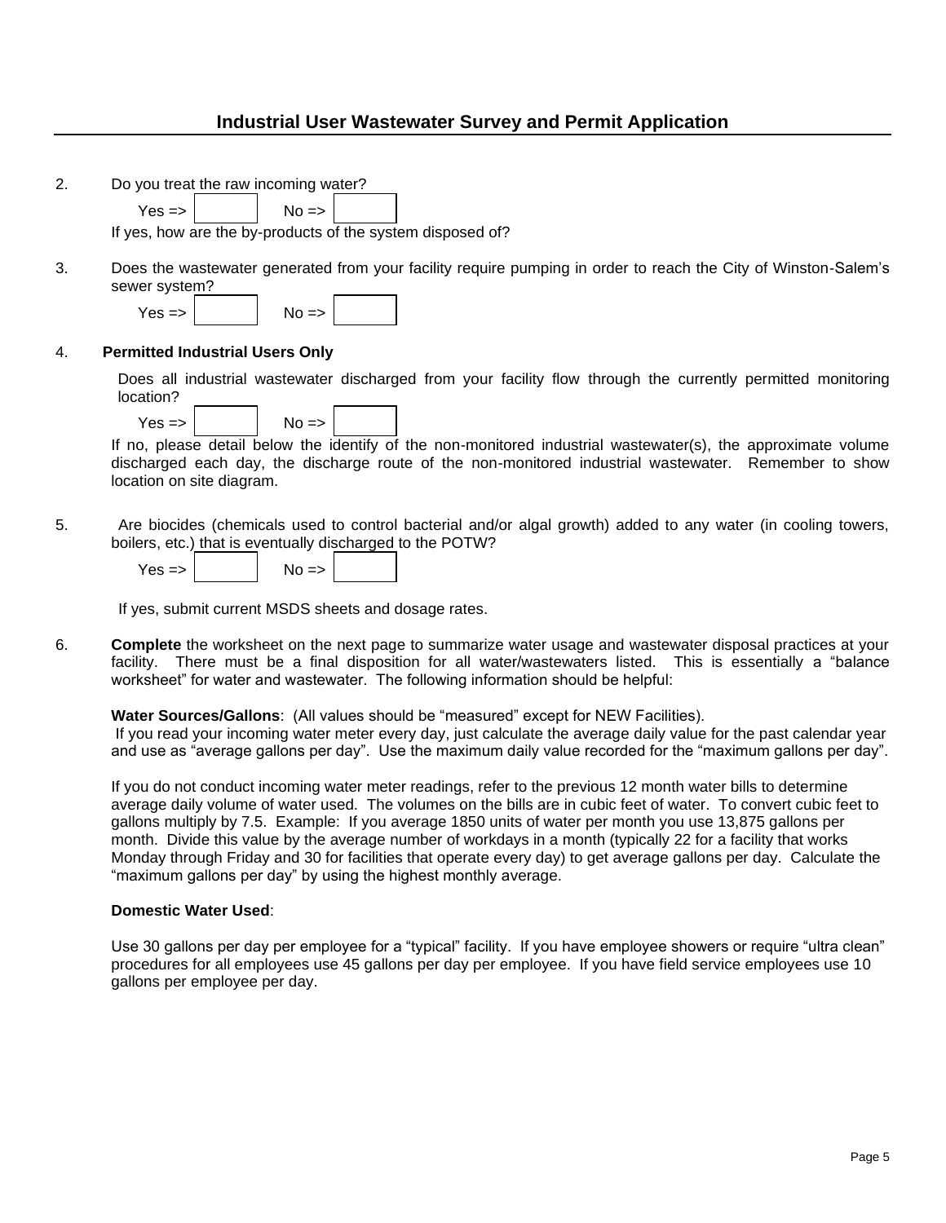| 2. | Do you treat the raw incoming water?                                                                                                                                                                                                                |
|----|-----------------------------------------------------------------------------------------------------------------------------------------------------------------------------------------------------------------------------------------------------|
|    | $Yes = >$<br>$No \Rightarrow$                                                                                                                                                                                                                       |
|    | If yes, how are the by-products of the system disposed of?                                                                                                                                                                                          |
| 3. | Does the wastewater generated from your facility require pumping in order to reach the City of Winston-Salem's<br>sewer system?<br>$Yes = >$<br>$No \Rightarrow$                                                                                    |
| 4. | <b>Permitted Industrial Users Only</b>                                                                                                                                                                                                              |
|    | Does all industrial wastewater discharged from your facility flow through the currently permitted monitoring<br>location?                                                                                                                           |
|    | $No \Rightarrow$<br>$Yes = >$                                                                                                                                                                                                                       |
|    | If no, please detail below the identify of the non-monitored industrial wastewater(s), the approximate volume<br>discharged each day, the discharge route of the non-monitored industrial wastewater. Remember to show<br>location on site diagram. |
| 5. | Are biocides (chemicals used to control bacterial and/or algal growth) added to any water (in cooling towers,<br>boilers, etc.) that is eventually discharged to the POTW?<br>$Yes = >$<br>$No \Rightarrow$                                         |

If yes, submit current MSDS sheets and dosage rates.

6. **Complete** the worksheet on the next page to summarize water usage and wastewater disposal practices at your facility. There must be a final disposition for all water/wastewaters listed. This is essentially a "balance worksheet" for water and wastewater. The following information should be helpful:

#### **Water Sources/Gallons**: (All values should be "measured" except for NEW Facilities).

If you read your incoming water meter every day, just calculate the average daily value for the past calendar year and use as "average gallons per day". Use the maximum daily value recorded for the "maximum gallons per day".

If you do not conduct incoming water meter readings, refer to the previous 12 month water bills to determine average daily volume of water used. The volumes on the bills are in cubic feet of water. To convert cubic feet to gallons multiply by 7.5. Example: If you average 1850 units of water per month you use 13,875 gallons per month. Divide this value by the average number of workdays in a month (typically 22 for a facility that works Monday through Friday and 30 for facilities that operate every day) to get average gallons per day. Calculate the "maximum gallons per day" by using the highest monthly average.

#### **Domestic Water Used**:

Use 30 gallons per day per employee for a "typical" facility. If you have employee showers or require "ultra clean" procedures for all employees use 45 gallons per day per employee. If you have field service employees use 10 gallons per employee per day.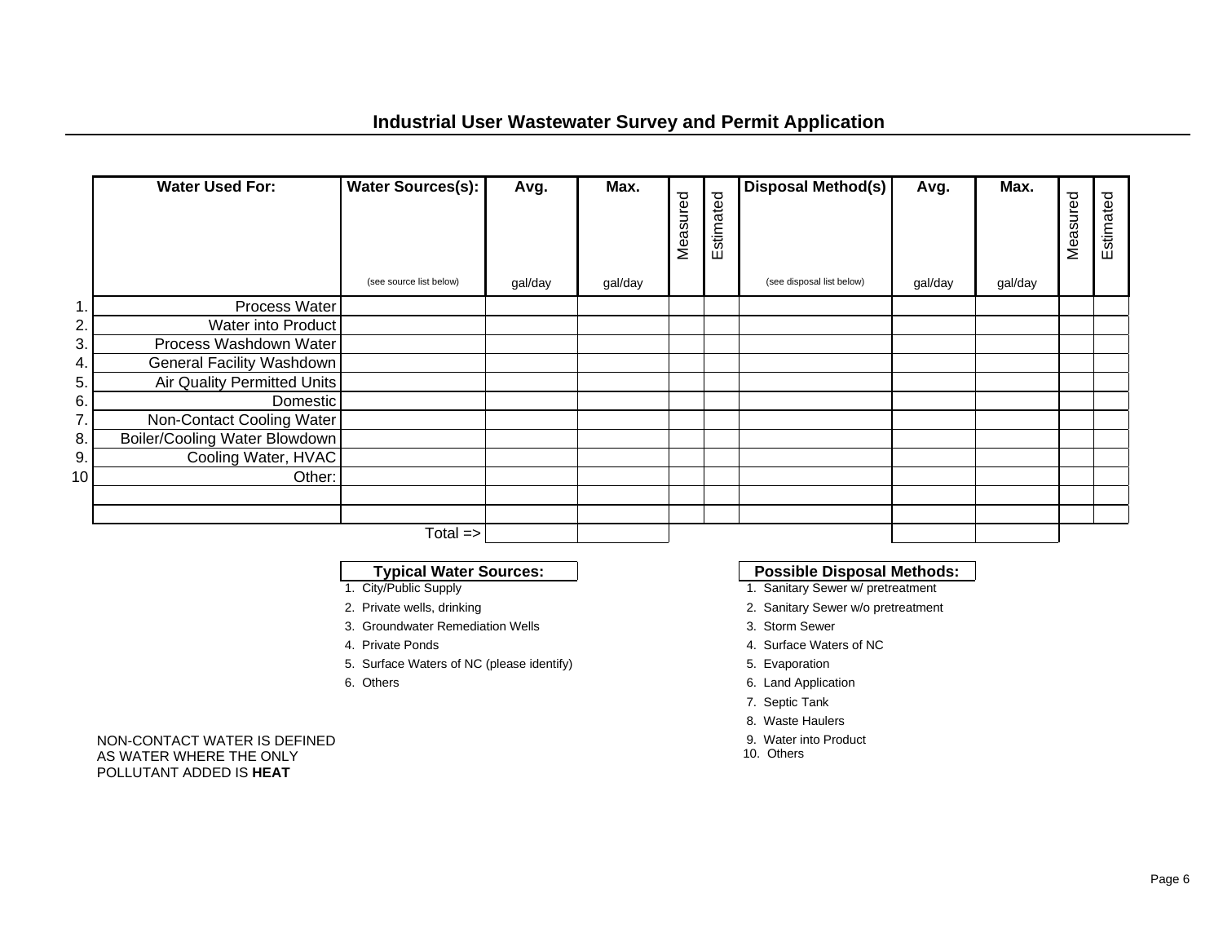|               | <b>Water Used For:</b>        | <b>Water Sources(s):</b> | Avg.    | Max.    | Measured | Estimated | Disposal Method(s)        | Avg.    | Max.    | Measured | Estimated |
|---------------|-------------------------------|--------------------------|---------|---------|----------|-----------|---------------------------|---------|---------|----------|-----------|
|               |                               | (see source list below)  | gal/day | gal/day |          |           | (see disposal list below) | gal/day | gal/day |          |           |
| $\mathbf 1$ . | Process Water                 |                          |         |         |          |           |                           |         |         |          |           |
| 2.            | Water into Product            |                          |         |         |          |           |                           |         |         |          |           |
| 3.            | Process Washdown Water        |                          |         |         |          |           |                           |         |         |          |           |
| 4.            | General Facility Washdown     |                          |         |         |          |           |                           |         |         |          |           |
| 5.            | Air Quality Permitted Units   |                          |         |         |          |           |                           |         |         |          |           |
| 6.            | Domestic                      |                          |         |         |          |           |                           |         |         |          |           |
| 7.            | Non-Contact Cooling Water     |                          |         |         |          |           |                           |         |         |          |           |
| 8.            | Boiler/Cooling Water Blowdown |                          |         |         |          |           |                           |         |         |          |           |
| 9.            | Cooling Water, HVAC           |                          |         |         |          |           |                           |         |         |          |           |
| 10            | Other:                        |                          |         |         |          |           |                           |         |         |          |           |
|               |                               |                          |         |         |          |           |                           |         |         |          |           |
|               |                               |                          |         |         |          |           |                           |         |         |          |           |
|               |                               | $Total =$                |         |         |          |           |                           |         |         |          |           |

- 
- 
- 3. Groundwater Remediation Wells 3. Storm Sewer
- 
- 5. Surface Waters of NC (please identify) 5. Evaporation
- 

#### NON-CONTACT WATER IS DEFINED AS WATER WHERE THE ONLY POLLUTANT ADDED IS **HEAT**

# **Typical Water Sources:**<br>1. City/Public Supply<br>1. Sanitary Sewer w/ pretreatment

- 1. Sanitary Sewer w/ pretreatment
- 2. Private wells, drinking 2. Sanitary Sewer w/o pretreatment
	-
- 4. Private Ponds 4. Surface Waters of NC
	-
- 6. Others 6. Land Application
	- 7. Septic Tank
	- 8. Waste Haulers
	- 9. Water into Product
	- 10. Others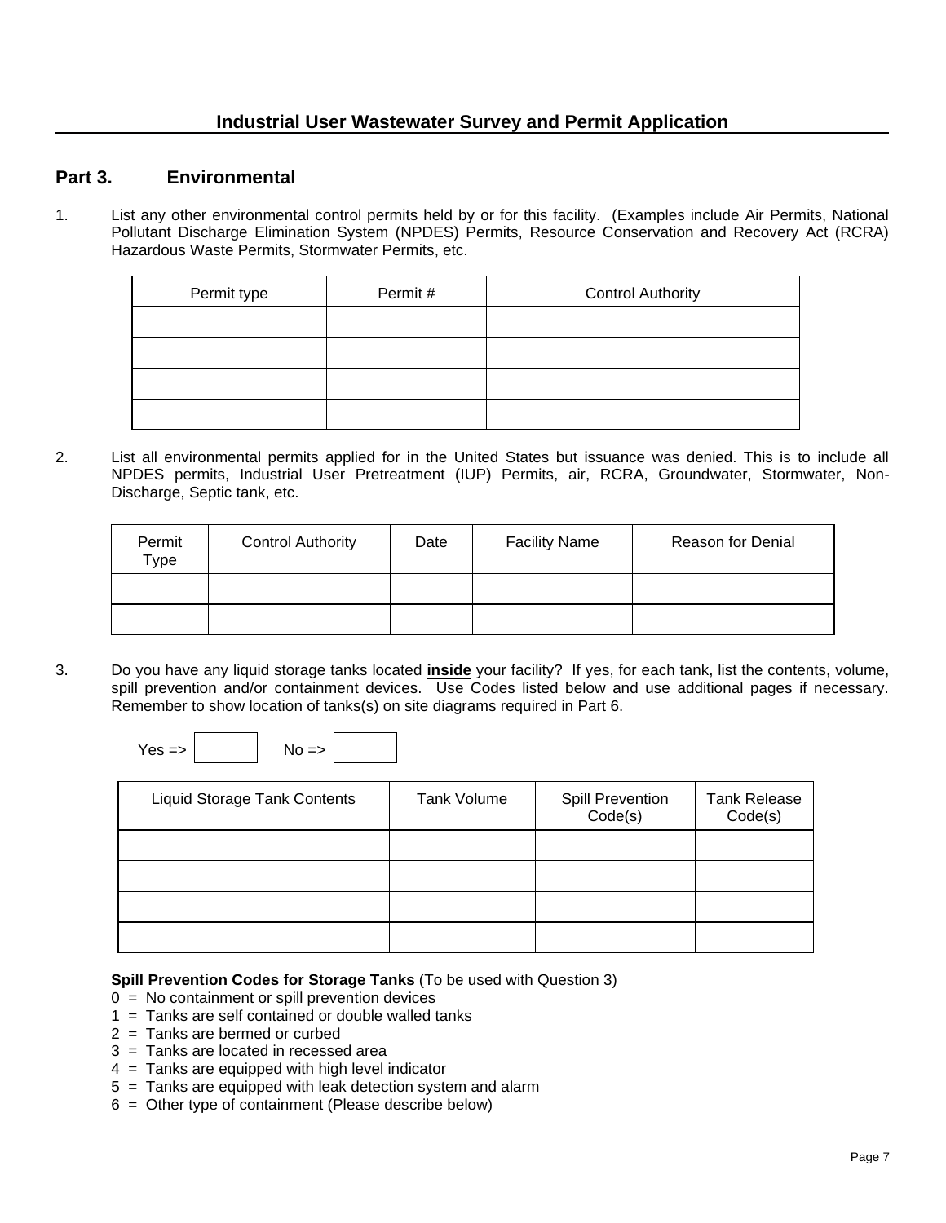#### **Part 3. Environmental**

1. List any other environmental control permits held by or for this facility. (Examples include Air Permits, National Pollutant Discharge Elimination System (NPDES) Permits, Resource Conservation and Recovery Act (RCRA) Hazardous Waste Permits, Stormwater Permits, etc.

| Permit type | Permit# | <b>Control Authority</b> |
|-------------|---------|--------------------------|
|             |         |                          |
|             |         |                          |
|             |         |                          |
|             |         |                          |

2. List all environmental permits applied for in the United States but issuance was denied. This is to include all NPDES permits, Industrial User Pretreatment (IUP) Permits, air, RCRA, Groundwater, Stormwater, Non-Discharge, Septic tank, etc.

| Permit<br>Type | <b>Control Authority</b> | Date | <b>Facility Name</b> | Reason for Denial |
|----------------|--------------------------|------|----------------------|-------------------|
|                |                          |      |                      |                   |
|                |                          |      |                      |                   |

3. Do you have any liquid storage tanks located **inside** your facility? If yes, for each tank, list the contents, volume, spill prevention and/or containment devices. Use Codes listed below and use additional pages if necessary. Remember to show location of tanks(s) on site diagrams required in Part 6.

 $Yes = > |$   $|$   $No = >$ 

| <b>Liquid Storage Tank Contents</b> | Tank Volume | <b>Spill Prevention</b><br>Code(s) | <b>Tank Release</b><br>Code(s) |
|-------------------------------------|-------------|------------------------------------|--------------------------------|
|                                     |             |                                    |                                |
|                                     |             |                                    |                                |
|                                     |             |                                    |                                |
|                                     |             |                                    |                                |

#### **Spill Prevention Codes for Storage Tanks** (To be used with Question 3)

- $0 = No$  containment or spill prevention devices
- 1 = Tanks are self contained or double walled tanks
- 2 = Tanks are bermed or curbed
- 3 = Tanks are located in recessed area
- 4 = Tanks are equipped with high level indicator
- 5 = Tanks are equipped with leak detection system and alarm
- 6 = Other type of containment (Please describe below)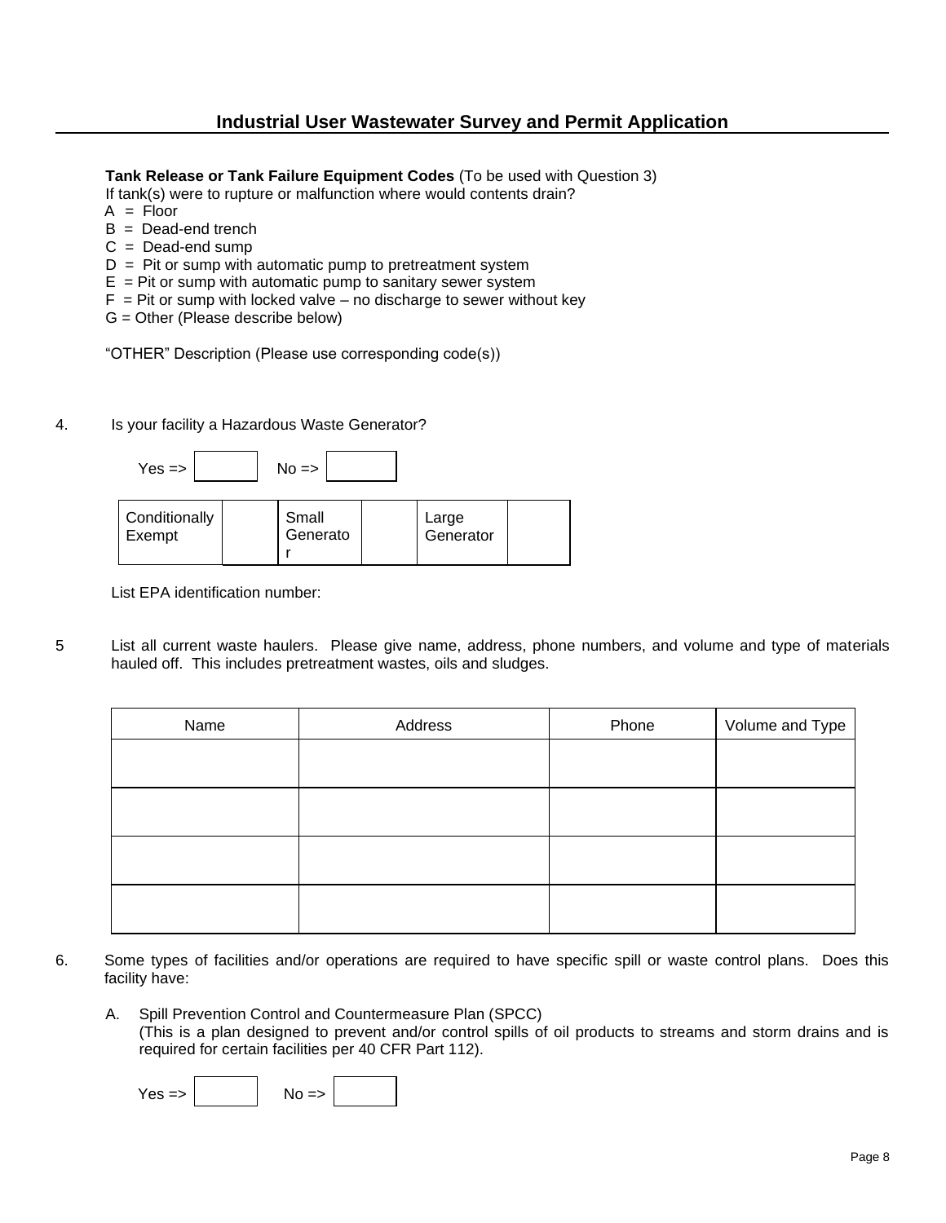**Tank Release or Tank Failure Equipment Codes** (To be used with Question 3)

If tank(s) were to rupture or malfunction where would contents drain?

- $A =$  Floor
- $B =$  Dead-end trench
- $C = Dead$ -end sump
- $D =$  Pit or sump with automatic pump to pretreatment system
- $E =$  Pit or sump with automatic pump to sanitary sewer system
- $F =$  Pit or sump with locked valve no discharge to sewer without key
- G = Other (Please describe below)

"OTHER" Description (Please use corresponding code(s))

4. Is your facility a Hazardous Waste Generator?



| Conditionally<br>Exempt | Small<br>Generato | Large<br>Generator |  |
|-------------------------|-------------------|--------------------|--|
|                         |                   |                    |  |

List EPA identification number:

5 List all current waste haulers. Please give name, address, phone numbers, and volume and type of materials hauled off. This includes pretreatment wastes, oils and sludges.

| Name | Address | Phone | Volume and Type |
|------|---------|-------|-----------------|
|      |         |       |                 |
|      |         |       |                 |
|      |         |       |                 |
|      |         |       |                 |
|      |         |       |                 |

- 6. Some types of facilities and/or operations are required to have specific spill or waste control plans. Does this facility have:
	- A. Spill Prevention Control and Countermeasure Plan (SPCC) (This is a plan designed to prevent and/or control spills of oil products to streams and storm drains and is required for certain facilities per 40 CFR Part 112).

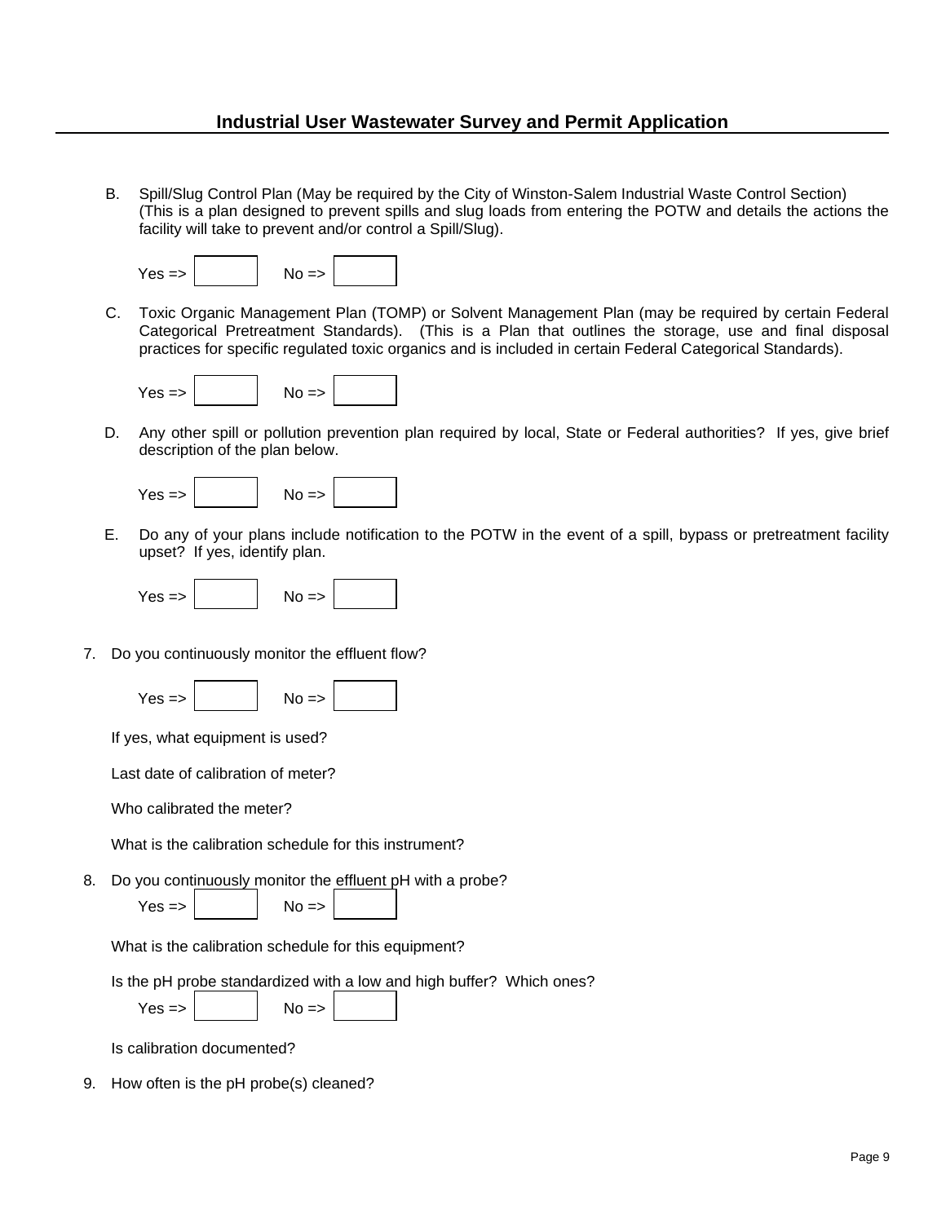B. Spill/Slug Control Plan (May be required by the City of Winston-Salem Industrial Waste Control Section) (This is a plan designed to prevent spills and slug loads from entering the POTW and details the actions the facility will take to prevent and/or control a Spill/Slug).

| $No \Rightarrow$ |
|------------------|
|                  |

C. Toxic Organic Management Plan (TOMP) or Solvent Management Plan (may be required by certain Federal Categorical Pretreatment Standards). (This is a Plan that outlines the storage, use and final disposal practices for specific regulated toxic organics and is included in certain Federal Categorical Standards).



D. Any other spill or pollution prevention plan required by local, State or Federal authorities? If yes, give brief description of the plan below.



E. Do any of your plans include notification to the POTW in the event of a spill, bypass or pretreatment facility upset? If yes, identify plan.



7. Do you continuously monitor the effluent flow?

 $Yes \Rightarrow |$   $No \Rightarrow$ 

If yes, what equipment is used?

Last date of calibration of meter?

Who calibrated the meter?

What is the calibration schedule for this instrument?

8. Do you continuously monitor the effluent pH with a probe?

 $\text{Yes} \Rightarrow \begin{vmatrix} \text{No} =\text{?} \end{vmatrix}$ 

What is the calibration schedule for this equipment?

Is the pH probe standardized with a low and high buffer? Which ones?

 $\mathcal{L} = \{ \mathcal{L} \}$ 

 $Yes = > |$   $No = > |$ 

Is calibration documented?

9. How often is the pH probe(s) cleaned?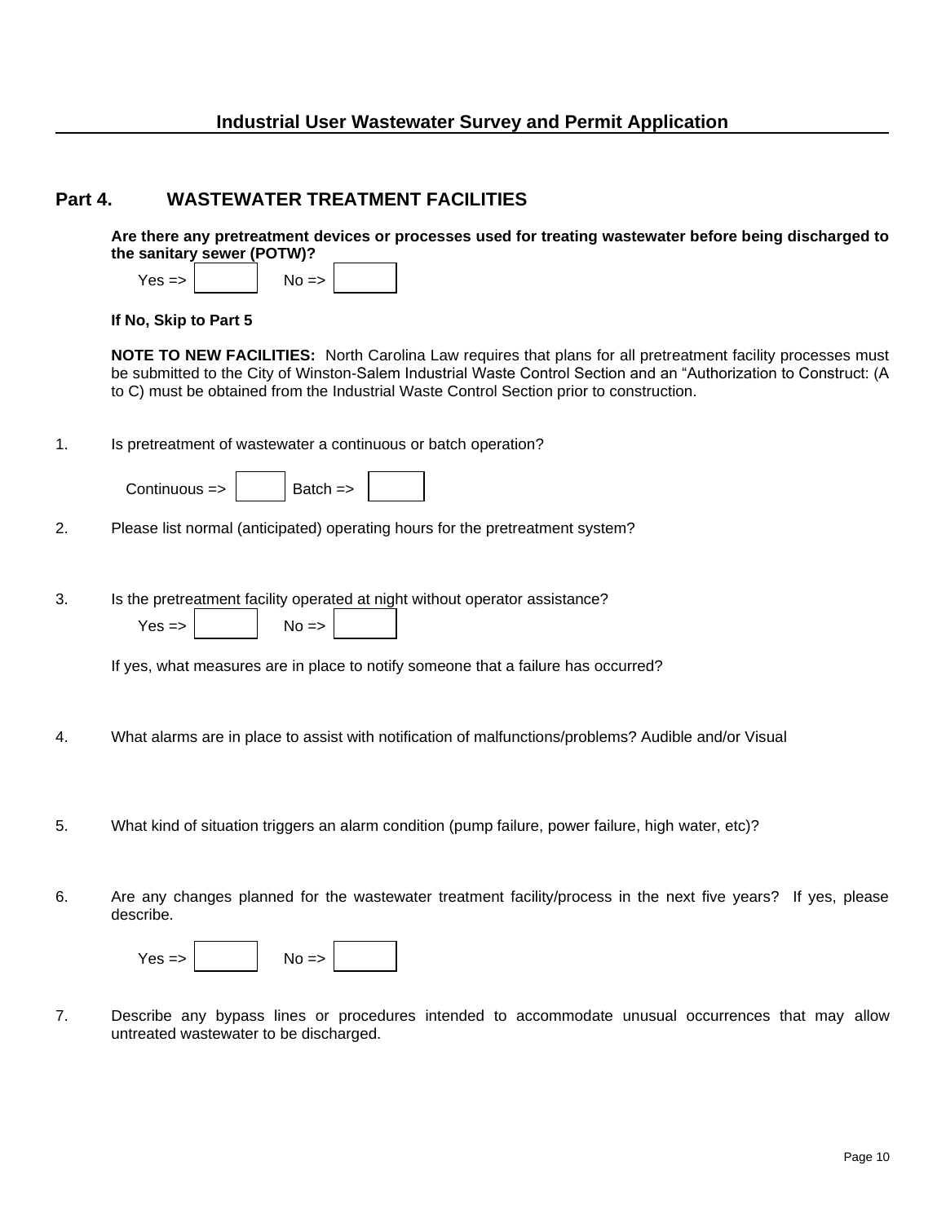#### **Part 4. WASTEWATER TREATMENT FACILITIES**

**Are there any pretreatment devices or processes used for treating wastewater before being discharged to the sanitary sewer (POTW)?** 

| $Yes \Rightarrow$ | $No \Rightarrow$ |  |
|-------------------|------------------|--|
|                   |                  |  |

**If No, Skip to Part 5**

**NOTE TO NEW FACILITIES:** North Carolina Law requires that plans for all pretreatment facility processes must be submitted to the City of Winston-Salem Industrial Waste Control Section and an "Authorization to Construct: (A to C) must be obtained from the Industrial Waste Control Section prior to construction.

1. Is pretreatment of wastewater a continuous or batch operation?

- 2. Please list normal (anticipated) operating hours for the pretreatment system?
- 3. Is the pretreatment facility operated at night without operator assistance?

 $Yes = > |$   $No = >$ 

If yes, what measures are in place to notify someone that a failure has occurred?

- 4. What alarms are in place to assist with notification of malfunctions/problems? Audible and/or Visual
- 5. What kind of situation triggers an alarm condition (pump failure, power failure, high water, etc)?
- 6. Are any changes planned for the wastewater treatment facility/process in the next five years? If yes, please describe.

| $Y$ es $\Rightarrow$ |  | $No \Rightarrow$ |  |  |
|----------------------|--|------------------|--|--|
|----------------------|--|------------------|--|--|

7. Describe any bypass lines or procedures intended to accommodate unusual occurrences that may allow untreated wastewater to be discharged.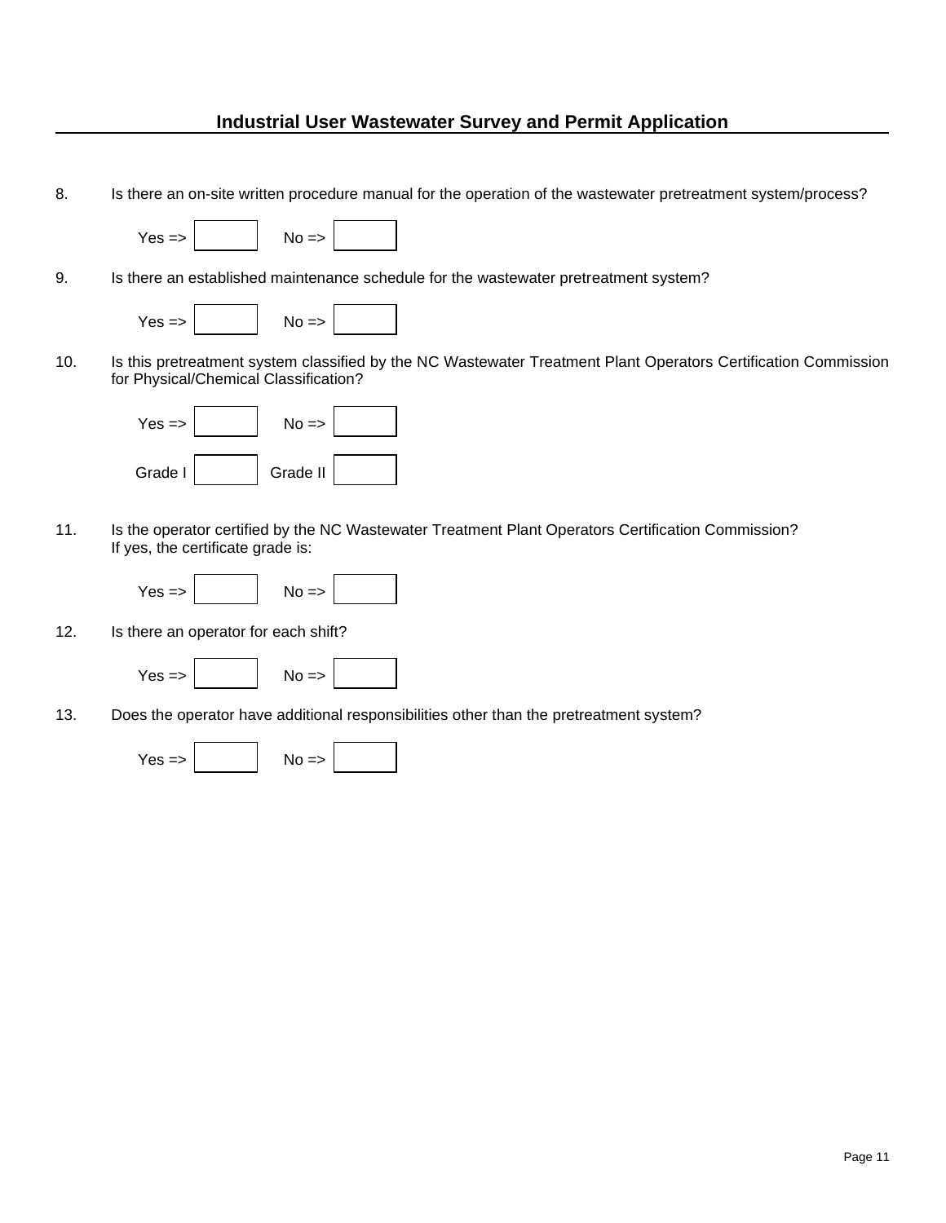8. Is there an on-site written procedure manual for the operation of the wastewater pretreatment system/process?



9. Is there an established maintenance schedule for the wastewater pretreatment system?



10. Is this pretreatment system classified by the NC Wastewater Treatment Plant Operators Certification Commission for Physical/Chemical Classification?



11. Is the operator certified by the NC Wastewater Treatment Plant Operators Certification Commission? If yes, the certificate grade is:



12. Is there an operator for each shift?



13. Does the operator have additional responsibilities other than the pretreatment system?

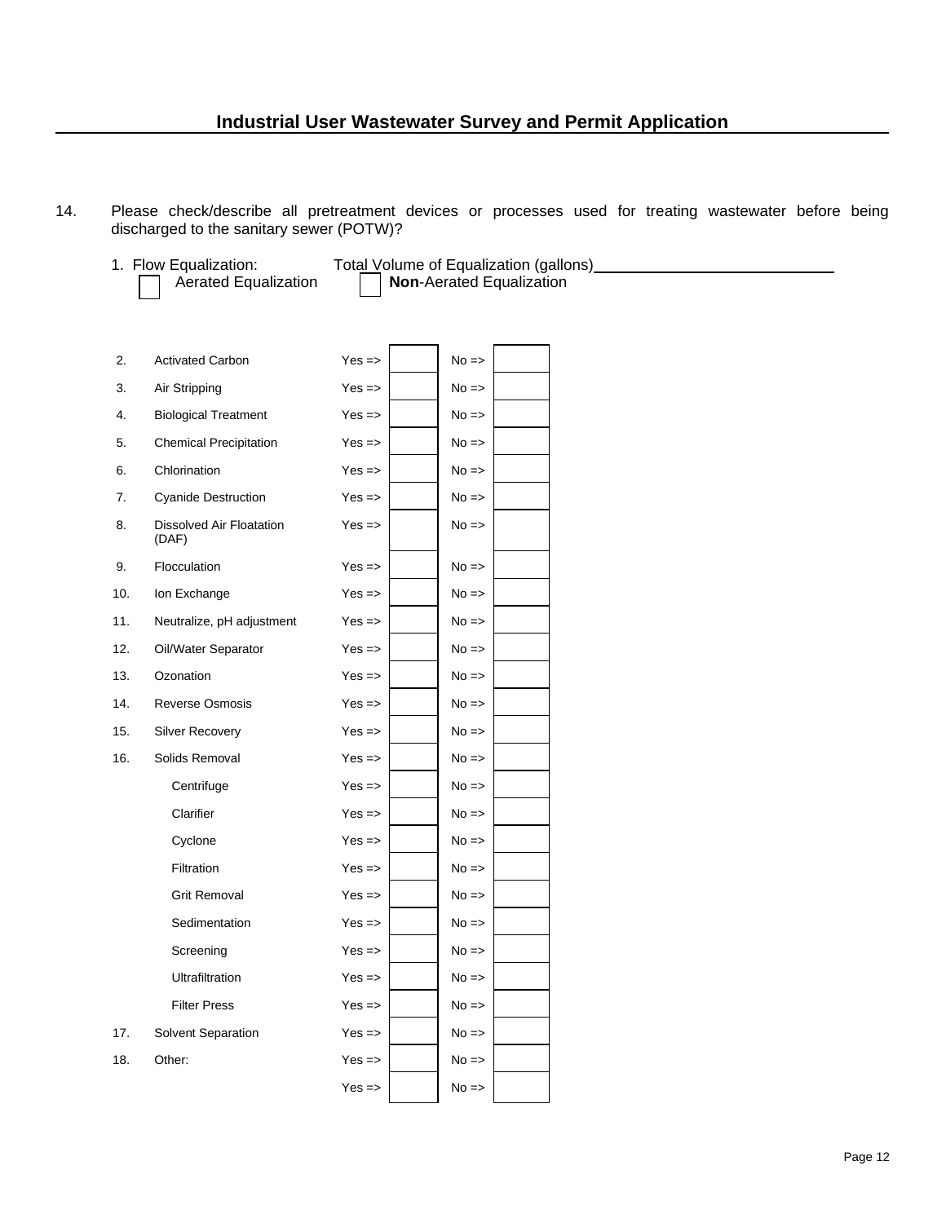14. Please check/describe all pretreatment devices or processes used for treating wastewater before being discharged to the sanitary sewer (POTW)?

1. Flow Equalization: Total Volume of Equalization (gallons) [11] The Equalization (state of the Equalizations

Aerated Equalization **Non-Aerated Equalization** 

| 2.  | <b>Activated Carbon</b>                  | $Yes = >$ | $No \Rightarrow$ |  |
|-----|------------------------------------------|-----------|------------------|--|
| 3.  | Air Stripping                            | $Yes = >$ | $No \Rightarrow$ |  |
| 4.  | <b>Biological Treatment</b>              | $Yes = >$ | $No \Rightarrow$ |  |
| 5.  | <b>Chemical Precipitation</b>            | $Yes = >$ | $No \Rightarrow$ |  |
| 6.  | Chlorination                             | $Yes = >$ | $No \Rightarrow$ |  |
| 7.  | <b>Cyanide Destruction</b>               | $Yes = >$ | $No \Rightarrow$ |  |
| 8.  | <b>Dissolved Air Floatation</b><br>(DAF) | $Yes = >$ | $No \Rightarrow$ |  |
| 9.  | Flocculation                             | $Yes = >$ | $No \Rightarrow$ |  |
| 10. | Ion Exchange                             | $Yes = >$ | $No \Rightarrow$ |  |
| 11. | Neutralize, pH adjustment                | $Yes = >$ | $No \Rightarrow$ |  |
| 12. | Oil/Water Separator                      | $Yes = >$ | $No \Rightarrow$ |  |
| 13. | Ozonation                                | $Yes = >$ | $No \Rightarrow$ |  |
| 14. | <b>Reverse Osmosis</b>                   | $Yes = >$ | $No \Rightarrow$ |  |
| 15. | <b>Silver Recovery</b>                   | $Yes = >$ | $No \Rightarrow$ |  |
| 16. | Solids Removal                           | $Yes = >$ | $No \Rightarrow$ |  |
|     | Centrifuge                               | $Yes = >$ | $No \Rightarrow$ |  |
|     | Clarifier                                | $Yes = >$ | $No \Rightarrow$ |  |
|     | Cyclone                                  | $Yes = >$ | $No \Rightarrow$ |  |
|     | Filtration                               | $Yes = >$ | $No \Rightarrow$ |  |
|     | <b>Grit Removal</b>                      | $Yes = >$ | $No \Rightarrow$ |  |
|     | Sedimentation                            | $Yes = >$ | $No \Rightarrow$ |  |
|     | Screening                                | $Yes = >$ | $No \Rightarrow$ |  |
|     | Ultrafiltration                          | $Yes = >$ | $No \Rightarrow$ |  |
|     | <b>Filter Press</b>                      | $Yes = >$ | $No \Rightarrow$ |  |
| 17. | Solvent Separation                       | $Yes = >$ | $No \Rightarrow$ |  |
| 18. | Other:                                   | $Yes = >$ | $No \Rightarrow$ |  |
|     |                                          | $Yes =$   | $No \Rightarrow$ |  |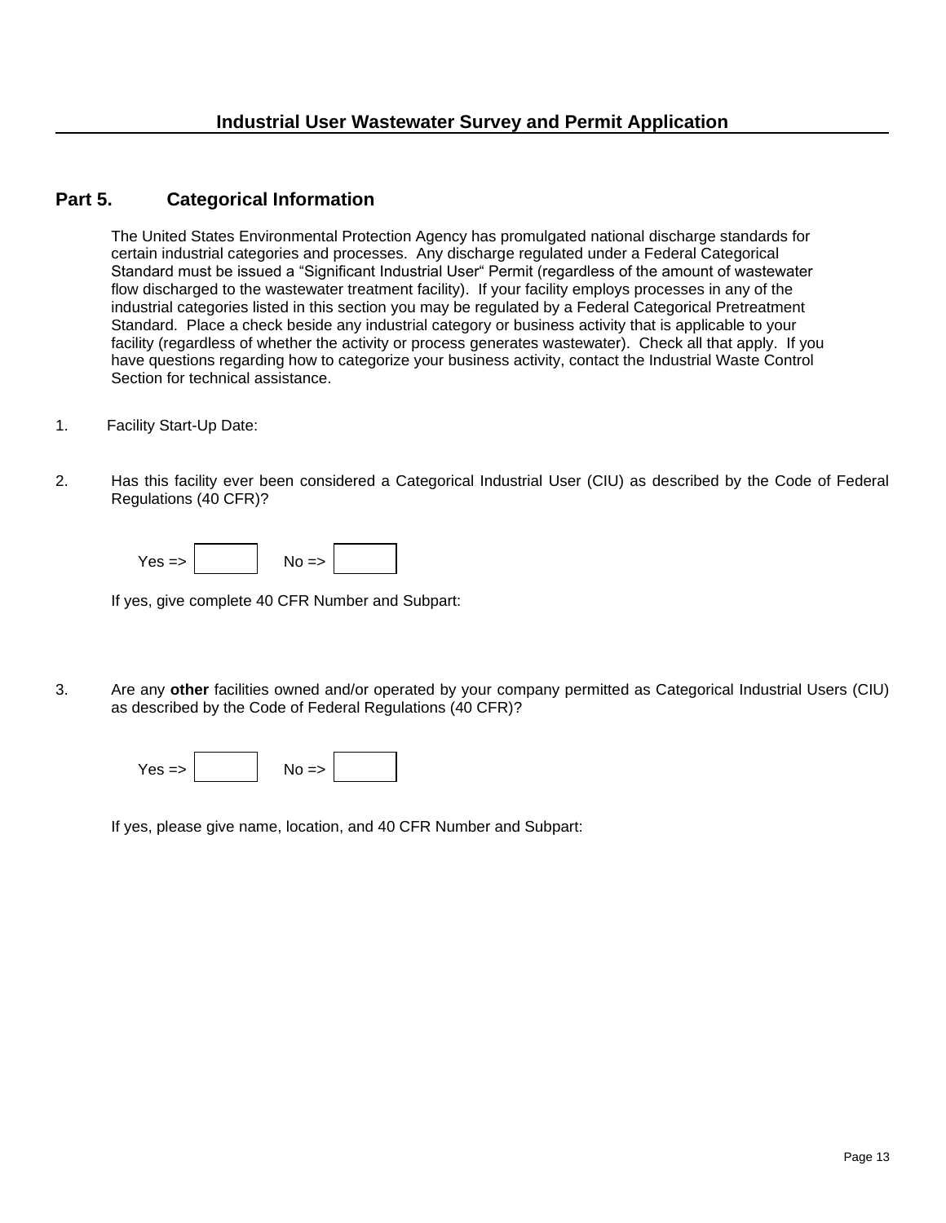#### **Part 5. Categorical Information**

The United States Environmental Protection Agency has promulgated national discharge standards for certain industrial categories and processes. Any discharge regulated under a Federal Categorical Standard must be issued a "Significant Industrial User" Permit (regardless of the amount of wastewater flow discharged to the wastewater treatment facility). If your facility employs processes in any of the industrial categories listed in this section you may be regulated by a Federal Categorical Pretreatment Standard. Place a check beside any industrial category or business activity that is applicable to your facility (regardless of whether the activity or process generates wastewater). Check all that apply. If you have questions regarding how to categorize your business activity, contact the Industrial Waste Control Section for technical assistance.

- 1. Facility Start-Up Date:
- 2. Has this facility ever been considered a Categorical Industrial User (CIU) as described by the Code of Federal Regulations (40 CFR)?

| $YAS = 5$ | $N0$ => |  |
|-----------|---------|--|
|-----------|---------|--|

If yes, give complete 40 CFR Number and Subpart:

3. Are any **other** facilities owned and/or operated by your company permitted as Categorical Industrial Users (CIU) as described by the Code of Federal Regulations (40 CFR)?

If yes, please give name, location, and 40 CFR Number and Subpart: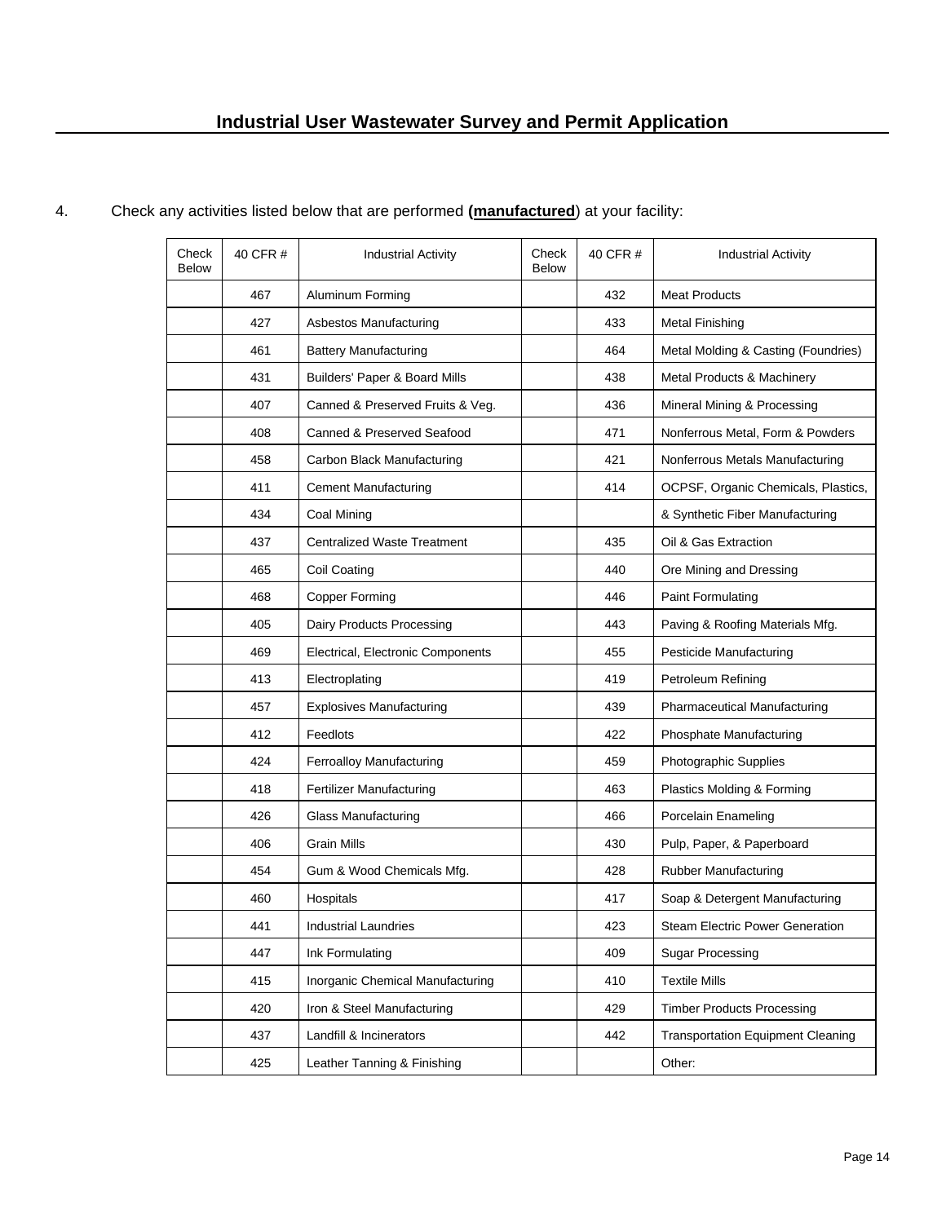| Check<br><b>Below</b> | 40 CFR # | <b>Industrial Activity</b>         | Check<br><b>Below</b> | 40 CFR # | <b>Industrial Activity</b>               |
|-----------------------|----------|------------------------------------|-----------------------|----------|------------------------------------------|
|                       | 467      | Aluminum Forming                   |                       | 432      | <b>Meat Products</b>                     |
|                       | 427      | Asbestos Manufacturing             |                       | 433      | <b>Metal Finishing</b>                   |
|                       | 461      | <b>Battery Manufacturing</b>       |                       | 464      | Metal Molding & Casting (Foundries)      |
|                       | 431      | Builders' Paper & Board Mills      |                       | 438      | Metal Products & Machinery               |
|                       | 407      | Canned & Preserved Fruits & Veg.   |                       | 436      | Mineral Mining & Processing              |
|                       | 408      | Canned & Preserved Seafood         |                       | 471      | Nonferrous Metal, Form & Powders         |
|                       | 458      | Carbon Black Manufacturing         |                       | 421      | Nonferrous Metals Manufacturing          |
|                       | 411      | <b>Cement Manufacturing</b>        |                       | 414      | OCPSF, Organic Chemicals, Plastics,      |
|                       | 434      | Coal Mining                        |                       |          | & Synthetic Fiber Manufacturing          |
|                       | 437      | <b>Centralized Waste Treatment</b> |                       | 435      | Oil & Gas Extraction                     |
|                       | 465      | Coil Coating                       |                       | 440      | Ore Mining and Dressing                  |
|                       | 468      | <b>Copper Forming</b>              |                       | 446      | Paint Formulating                        |
|                       | 405      | Dairy Products Processing          |                       | 443      | Paving & Roofing Materials Mfg.          |
|                       | 469      | Electrical, Electronic Components  |                       | 455      | Pesticide Manufacturing                  |
|                       | 413      | Electroplating                     |                       | 419      | Petroleum Refining                       |
|                       | 457      | <b>Explosives Manufacturing</b>    |                       | 439      | <b>Pharmaceutical Manufacturing</b>      |
|                       | 412      | Feedlots                           |                       | 422      | Phosphate Manufacturing                  |
|                       | 424      | Ferroalloy Manufacturing           |                       | 459      | Photographic Supplies                    |
|                       | 418      | <b>Fertilizer Manufacturing</b>    |                       | 463      | Plastics Molding & Forming               |
|                       | 426      | <b>Glass Manufacturing</b>         |                       | 466      | Porcelain Enameling                      |
|                       | 406      | Grain Mills                        |                       | 430      | Pulp, Paper, & Paperboard                |
|                       | 454      | Gum & Wood Chemicals Mfg.          |                       | 428      | Rubber Manufacturing                     |
|                       | 460      | Hospitals                          |                       | 417      | Soap & Detergent Manufacturing           |
|                       | 441      | <b>Industrial Laundries</b>        |                       | 423      | Steam Electric Power Generation          |
|                       | 447      | Ink Formulating                    |                       | 409      | <b>Sugar Processing</b>                  |
|                       | 415      | Inorganic Chemical Manufacturing   |                       | 410      | <b>Textile Mills</b>                     |
|                       | 420      | Iron & Steel Manufacturing         |                       | 429      | <b>Timber Products Processing</b>        |
|                       | 437      | Landfill & Incinerators            |                       | 442      | <b>Transportation Equipment Cleaning</b> |
|                       | 425      | Leather Tanning & Finishing        |                       |          | Other:                                   |

#### 4. Check any activities listed below that are performed **(manufactured**) at your facility:

 $\ddot{\phantom{0}}$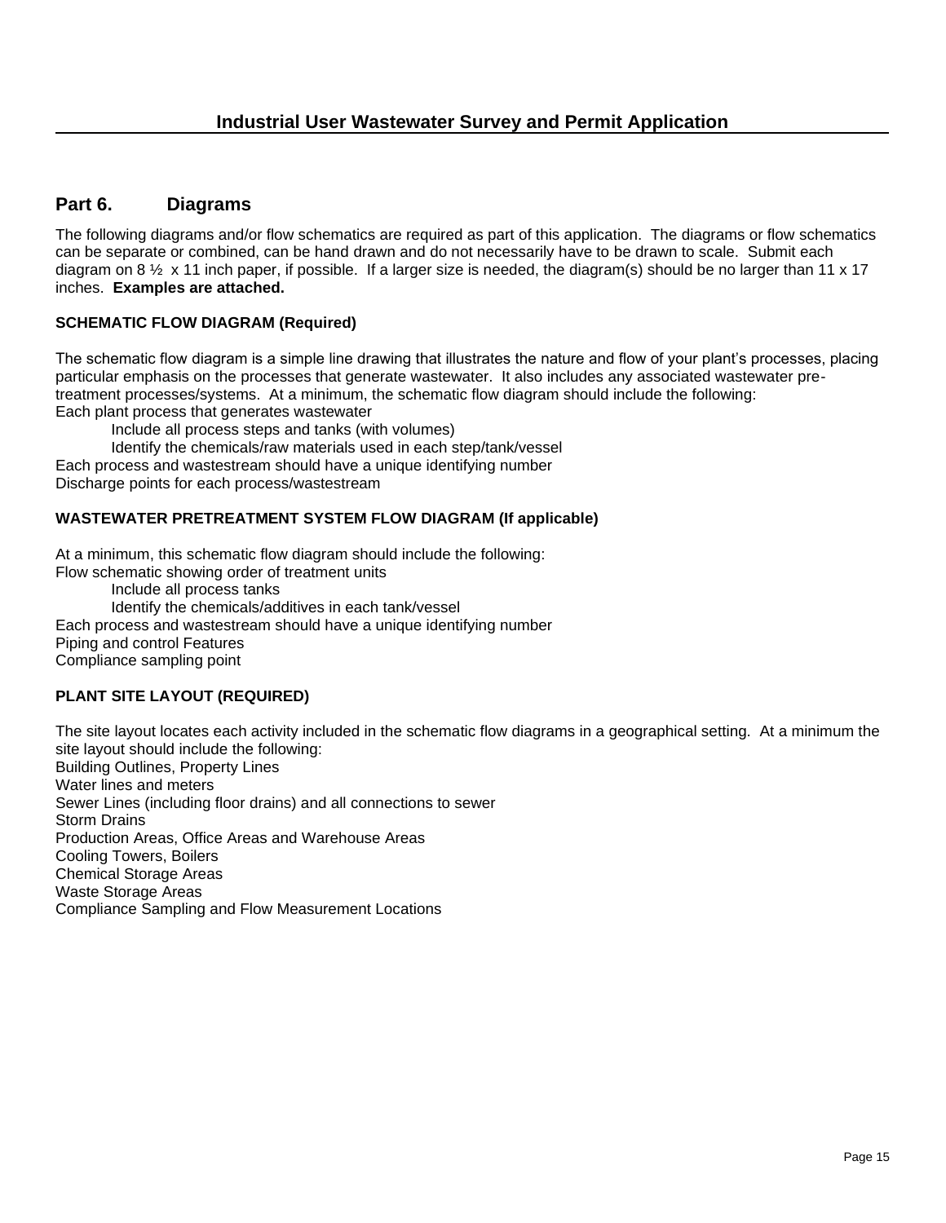#### **Part 6. Diagrams**

The following diagrams and/or flow schematics are required as part of this application. The diagrams or flow schematics can be separate or combined, can be hand drawn and do not necessarily have to be drawn to scale. Submit each diagram on 8  $\frac{1}{2}$  x 11 inch paper, if possible. If a larger size is needed, the diagram(s) should be no larger than 11 x 17 inches. **Examples are attached.** 

#### **SCHEMATIC FLOW DIAGRAM (Required)**

The schematic flow diagram is a simple line drawing that illustrates the nature and flow of your plant's processes, placing particular emphasis on the processes that generate wastewater. It also includes any associated wastewater pretreatment processes/systems. At a minimum, the schematic flow diagram should include the following: Each plant process that generates wastewater

Include all process steps and tanks (with volumes)

Identify the chemicals/raw materials used in each step/tank/vessel

Each process and wastestream should have a unique identifying number

Discharge points for each process/wastestream

#### **WASTEWATER PRETREATMENT SYSTEM FLOW DIAGRAM (If applicable)**

At a minimum, this schematic flow diagram should include the following: Flow schematic showing order of treatment units

Include all process tanks

Identify the chemicals/additives in each tank/vessel Each process and wastestream should have a unique identifying number Piping and control Features

Compliance sampling point

#### **PLANT SITE LAYOUT (REQUIRED)**

The site layout locates each activity included in the schematic flow diagrams in a geographical setting. At a minimum the site layout should include the following: Building Outlines, Property Lines Water lines and meters Sewer Lines (including floor drains) and all connections to sewer Storm Drains Production Areas, Office Areas and Warehouse Areas Cooling Towers, Boilers Chemical Storage Areas Waste Storage Areas Compliance Sampling and Flow Measurement Locations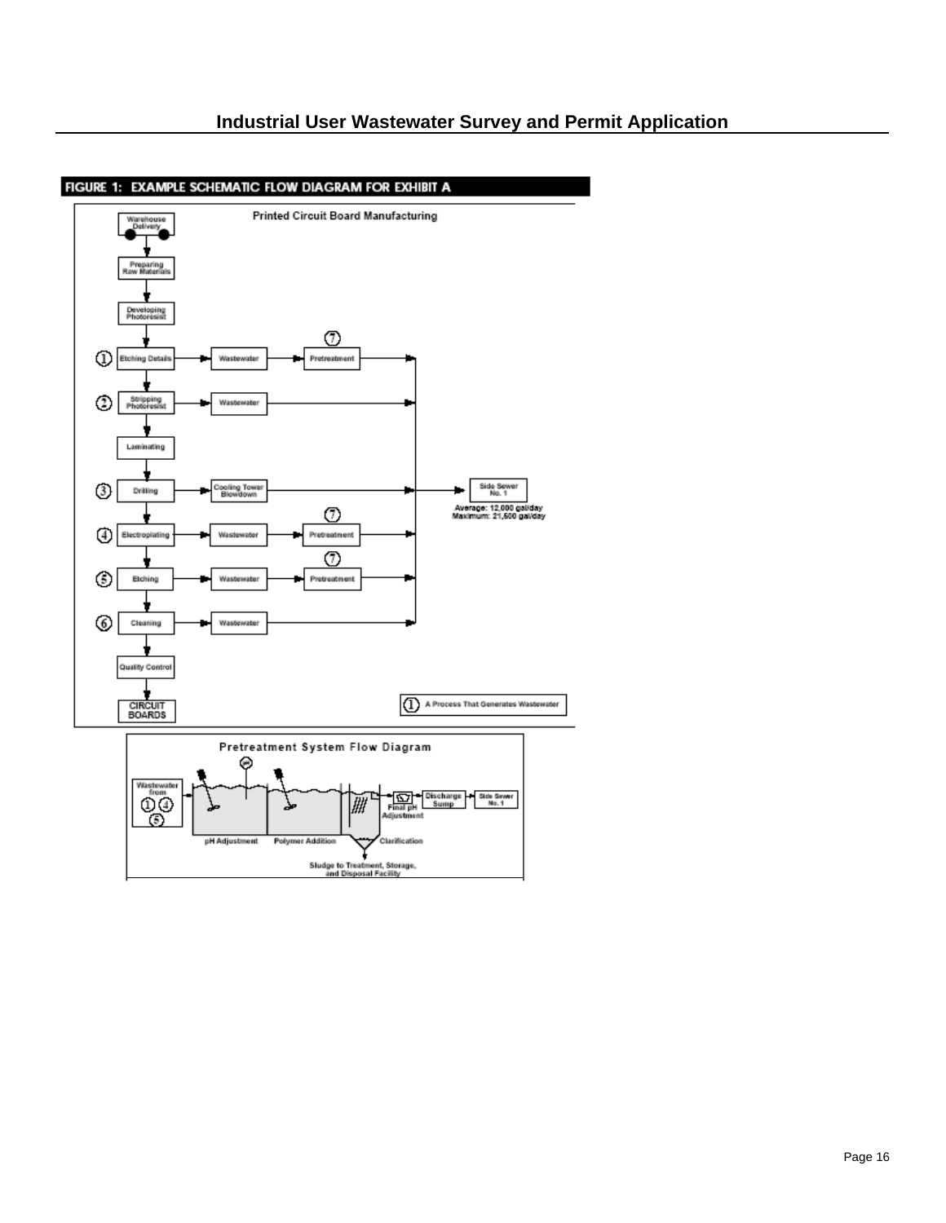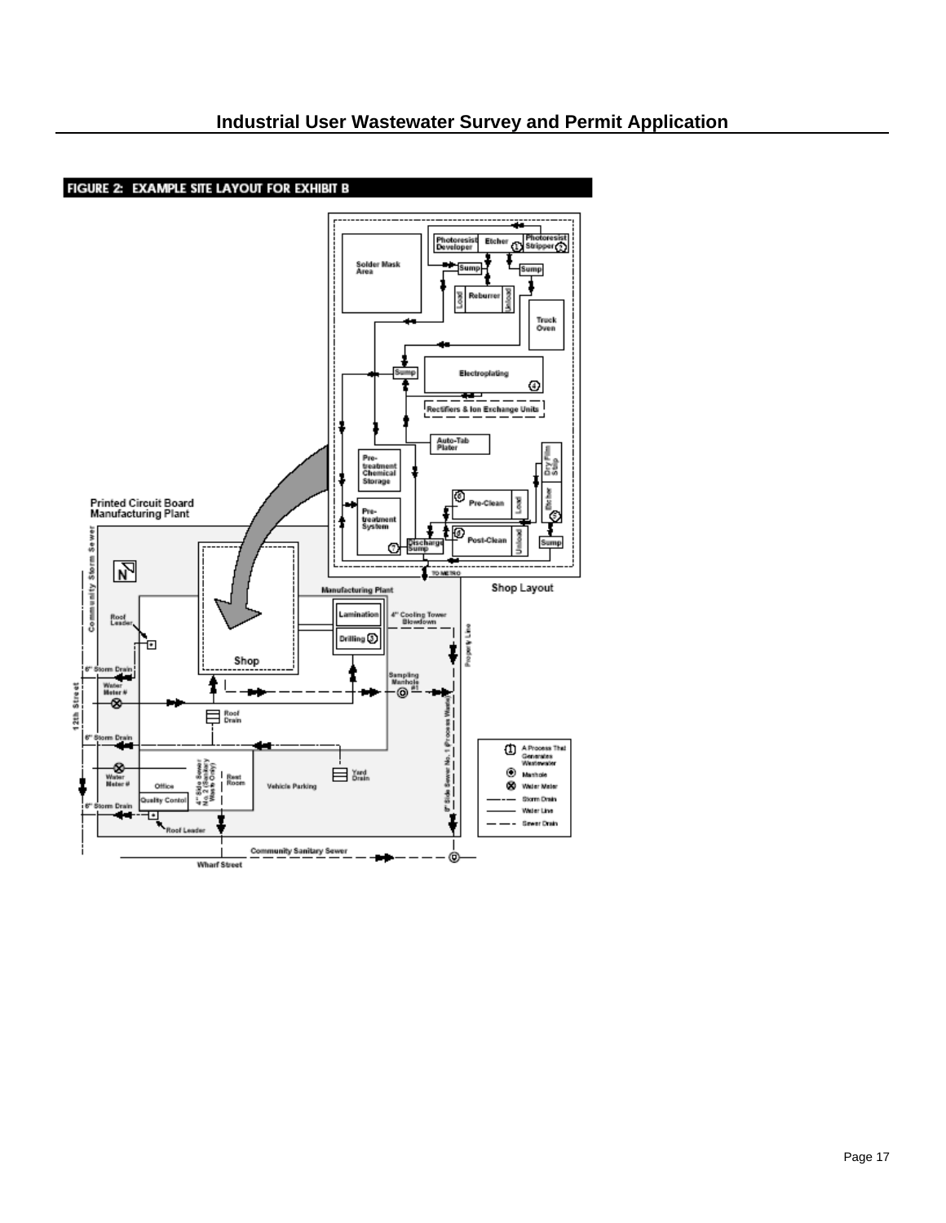

l,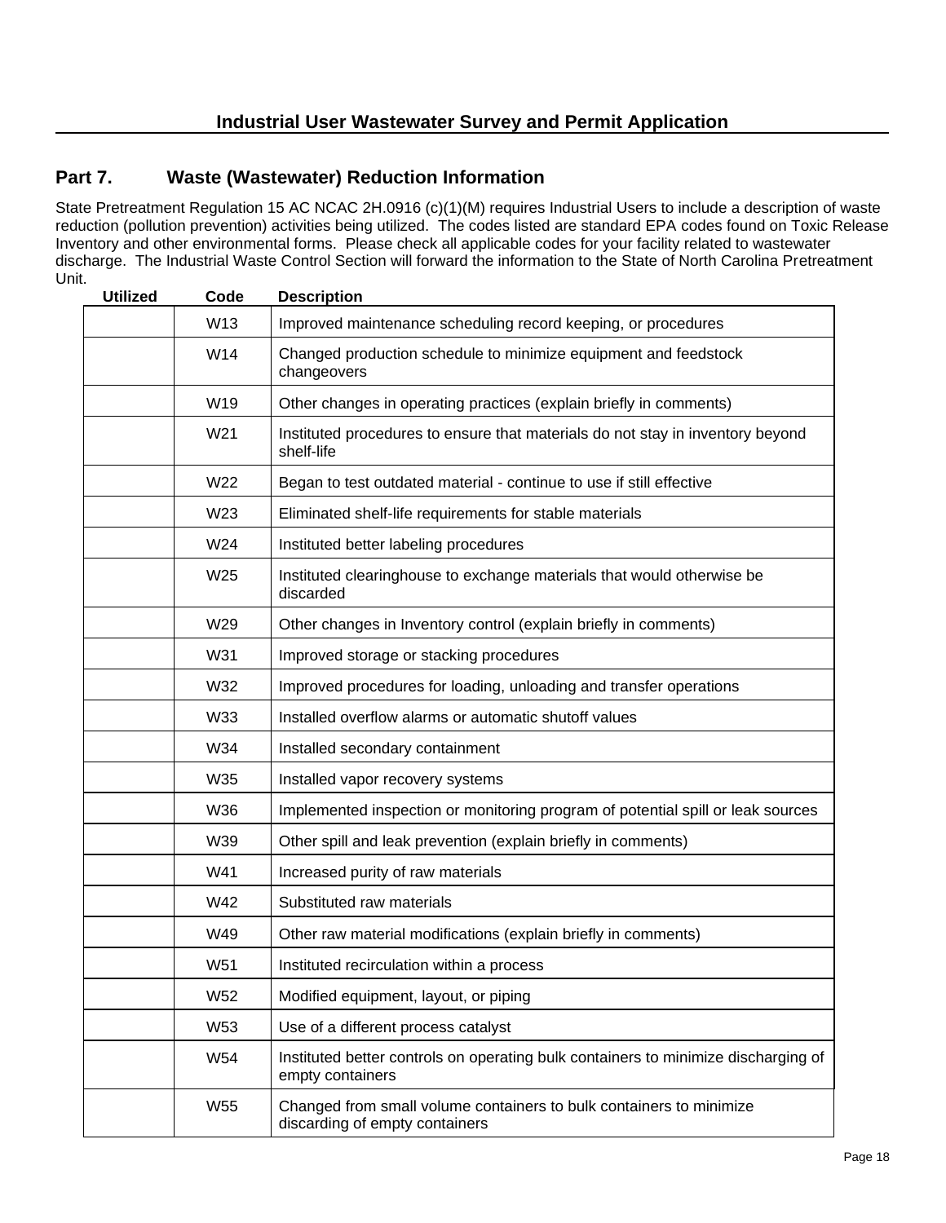#### **Part 7. Waste (Wastewater) Reduction Information**

State Pretreatment Regulation 15 AC NCAC 2H.0916 (c)(1)(M) requires Industrial Users to include a description of waste reduction (pollution prevention) activities being utilized. The codes listed are standard EPA codes found on Toxic Release Inventory and other environmental forms. Please check all applicable codes for your facility related to wastewater discharge. The Industrial Waste Control Section will forward the information to the State of North Carolina Pretreatment Unit.

| <b>Utilized</b> | Code            | <b>Description</b>                                                                                     |  |  |  |
|-----------------|-----------------|--------------------------------------------------------------------------------------------------------|--|--|--|
|                 | W13             | Improved maintenance scheduling record keeping, or procedures                                          |  |  |  |
|                 | W14             | Changed production schedule to minimize equipment and feedstock<br>changeovers                         |  |  |  |
|                 | W19             | Other changes in operating practices (explain briefly in comments)                                     |  |  |  |
|                 | W21             | Instituted procedures to ensure that materials do not stay in inventory beyond<br>shelf-life           |  |  |  |
|                 | W22             | Began to test outdated material - continue to use if still effective                                   |  |  |  |
|                 | W23             | Eliminated shelf-life requirements for stable materials                                                |  |  |  |
|                 | W24             | Instituted better labeling procedures                                                                  |  |  |  |
|                 | W25             | Instituted clearinghouse to exchange materials that would otherwise be<br>discarded                    |  |  |  |
|                 | W29             | Other changes in Inventory control (explain briefly in comments)                                       |  |  |  |
|                 | W31             | Improved storage or stacking procedures                                                                |  |  |  |
|                 | W32             | Improved procedures for loading, unloading and transfer operations                                     |  |  |  |
|                 | W33             | Installed overflow alarms or automatic shutoff values                                                  |  |  |  |
|                 | W34             | Installed secondary containment                                                                        |  |  |  |
|                 | W35             | Installed vapor recovery systems                                                                       |  |  |  |
|                 | W36             | Implemented inspection or monitoring program of potential spill or leak sources                        |  |  |  |
|                 | W39             | Other spill and leak prevention (explain briefly in comments)                                          |  |  |  |
|                 | W41             | Increased purity of raw materials                                                                      |  |  |  |
|                 | W42             | Substituted raw materials                                                                              |  |  |  |
|                 | W49             | Other raw material modifications (explain briefly in comments)                                         |  |  |  |
|                 | W51             | Instituted recirculation within a process                                                              |  |  |  |
|                 | W52             | Modified equipment, layout, or piping                                                                  |  |  |  |
|                 | W53             | Use of a different process catalyst                                                                    |  |  |  |
|                 | W54             | Instituted better controls on operating bulk containers to minimize discharging of<br>empty containers |  |  |  |
|                 | W <sub>55</sub> | Changed from small volume containers to bulk containers to minimize<br>discarding of empty containers  |  |  |  |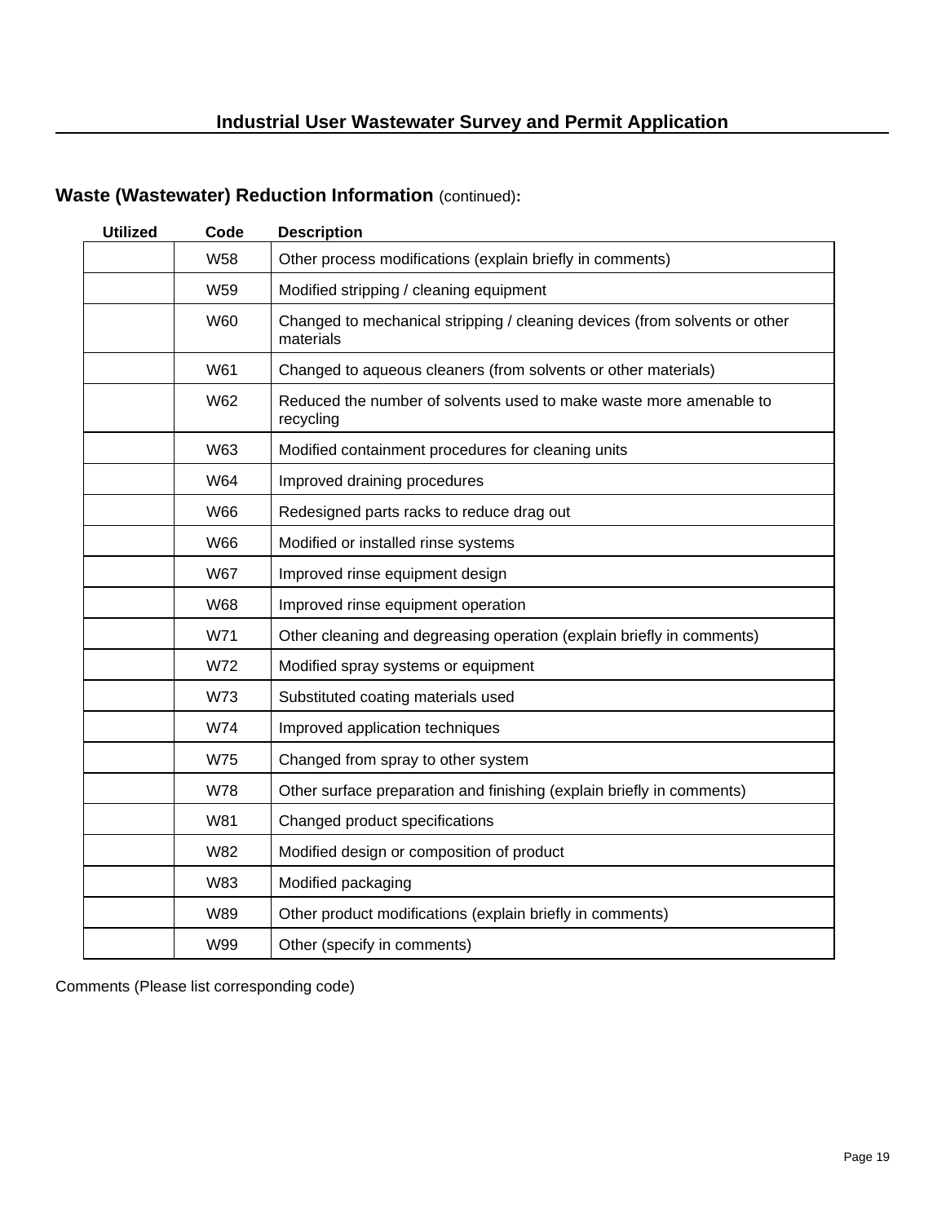### **Waste (Wastewater) Reduction Information** (continued)**:**

l,

| <b>Utilized</b> | Code       | <b>Description</b>                                                                      |
|-----------------|------------|-----------------------------------------------------------------------------------------|
|                 | <b>W58</b> | Other process modifications (explain briefly in comments)                               |
|                 | W59        | Modified stripping / cleaning equipment                                                 |
|                 | <b>W60</b> | Changed to mechanical stripping / cleaning devices (from solvents or other<br>materials |
|                 | W61        | Changed to aqueous cleaners (from solvents or other materials)                          |
|                 | W62        | Reduced the number of solvents used to make waste more amenable to<br>recycling         |
|                 | W63        | Modified containment procedures for cleaning units                                      |
|                 | W64        | Improved draining procedures                                                            |
|                 | W66        | Redesigned parts racks to reduce drag out                                               |
|                 | <b>W66</b> | Modified or installed rinse systems                                                     |
|                 | <b>W67</b> | Improved rinse equipment design                                                         |
|                 | <b>W68</b> | Improved rinse equipment operation                                                      |
|                 | W71        | Other cleaning and degreasing operation (explain briefly in comments)                   |
|                 | W72        | Modified spray systems or equipment                                                     |
|                 | W73        | Substituted coating materials used                                                      |
|                 | W74        | Improved application techniques                                                         |
|                 | <b>W75</b> | Changed from spray to other system                                                      |
|                 | <b>W78</b> | Other surface preparation and finishing (explain briefly in comments)                   |
|                 | W81        | Changed product specifications                                                          |
|                 | <b>W82</b> | Modified design or composition of product                                               |
|                 | W83        | Modified packaging                                                                      |
|                 | <b>W89</b> | Other product modifications (explain briefly in comments)                               |
|                 | W99        | Other (specify in comments)                                                             |

Comments (Please list corresponding code)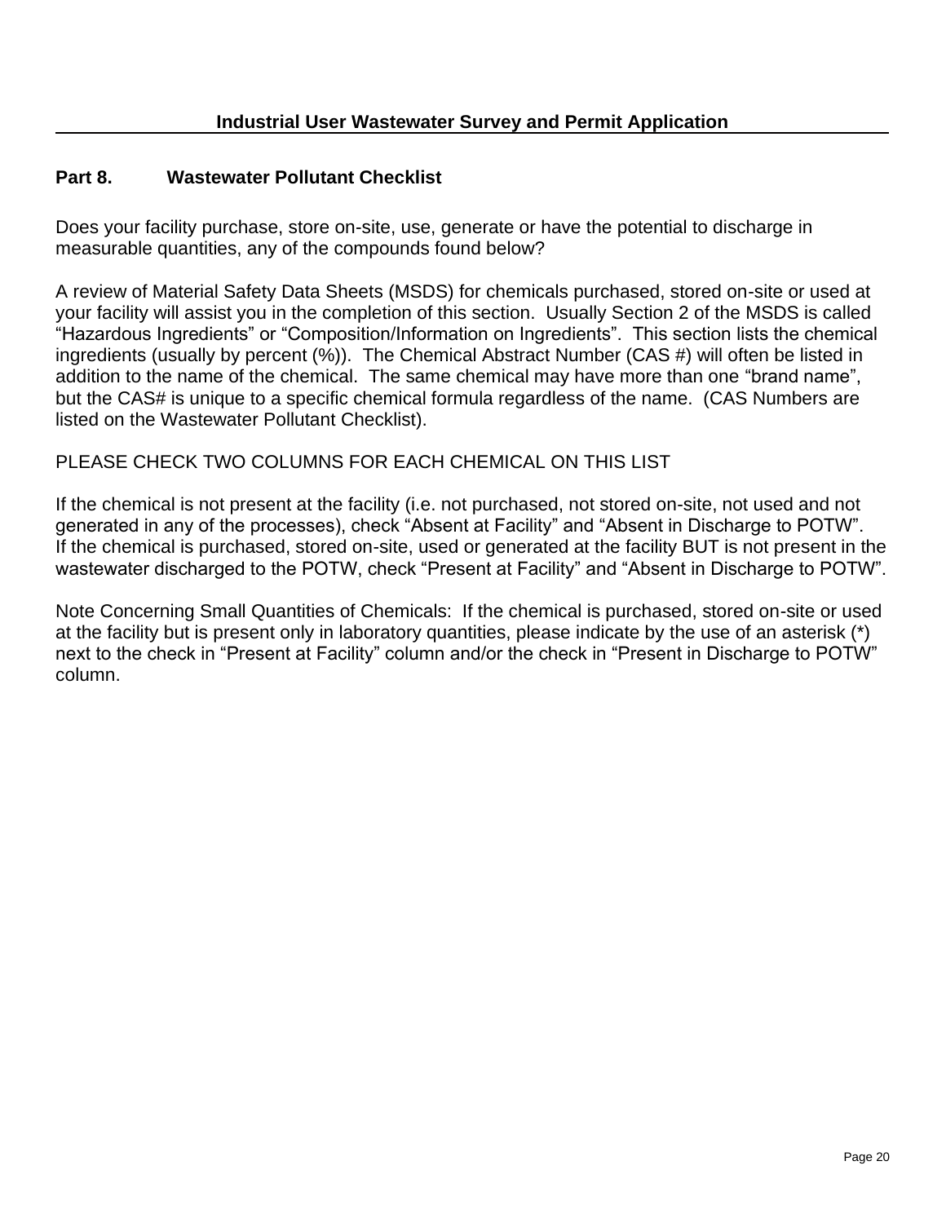#### **Part 8. Wastewater Pollutant Checklist**

Does your facility purchase, store on-site, use, generate or have the potential to discharge in measurable quantities, any of the compounds found below?

A review of Material Safety Data Sheets (MSDS) for chemicals purchased, stored on-site or used at your facility will assist you in the completion of this section. Usually Section 2 of the MSDS is called "Hazardous Ingredients" or "Composition/Information on Ingredients". This section lists the chemical ingredients (usually by percent (%)). The Chemical Abstract Number (CAS #) will often be listed in addition to the name of the chemical. The same chemical may have more than one "brand name", but the CAS# is unique to a specific chemical formula regardless of the name. (CAS Numbers are listed on the Wastewater Pollutant Checklist).

#### PLEASE CHECK TWO COLUMNS FOR EACH CHEMICAL ON THIS LIST

If the chemical is not present at the facility (i.e. not purchased, not stored on-site, not used and not generated in any of the processes), check "Absent at Facility" and "Absent in Discharge to POTW". If the chemical is purchased, stored on-site, used or generated at the facility BUT is not present in the wastewater discharged to the POTW, check "Present at Facility" and "Absent in Discharge to POTW".

Note Concerning Small Quantities of Chemicals: If the chemical is purchased, stored on-site or used at the facility but is present only in laboratory quantities, please indicate by the use of an asterisk (\*) next to the check in "Present at Facility" column and/or the check in "Present in Discharge to POTW" column.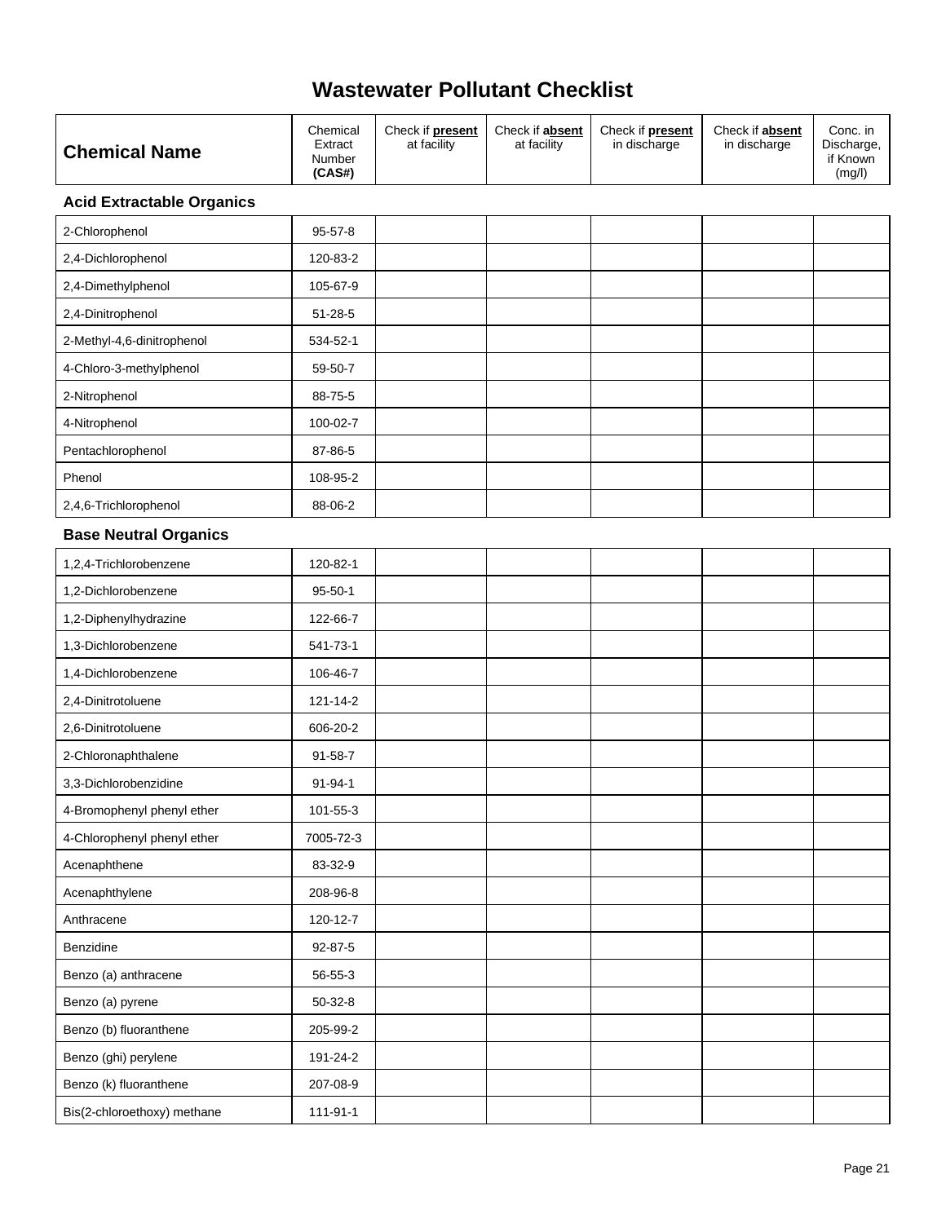| at facility<br>at facility<br>Extract<br>in discharge<br>in discharge<br><b>Chemical Name</b><br>Number<br>(CAS#)<br>(mg/l) |  | Chemical | Check if <b>present</b> | Check if absent | Check if <b>present</b> | Check if absent | Conc. in<br>Discharge,<br>if Known |
|-----------------------------------------------------------------------------------------------------------------------------|--|----------|-------------------------|-----------------|-------------------------|-----------------|------------------------------------|
|-----------------------------------------------------------------------------------------------------------------------------|--|----------|-------------------------|-----------------|-------------------------|-----------------|------------------------------------|

#### **Acid Extractable Organics**

 $\hat{\mathcal{A}}$ 

| 2-Chlorophenol             | $95 - 57 - 8$ |  |  |  |
|----------------------------|---------------|--|--|--|
| 2,4-Dichlorophenol         | 120-83-2      |  |  |  |
| 2,4-Dimethylphenol         | 105-67-9      |  |  |  |
| 2,4-Dinitrophenol          | $51 - 28 - 5$ |  |  |  |
| 2-Methyl-4,6-dinitrophenol | 534-52-1      |  |  |  |
| 4-Chloro-3-methylphenol    | 59-50-7       |  |  |  |
| 2-Nitrophenol              | 88-75-5       |  |  |  |
| 4-Nitrophenol              | 100-02-7      |  |  |  |
| Pentachlorophenol          | 87-86-5       |  |  |  |
| Phenol                     | 108-95-2      |  |  |  |
| 2,4,6-Trichlorophenol      | 88-06-2       |  |  |  |

#### **Base Neutral Organics**

| 1,2,4-Trichlorobenzene      | 120-82-1      |  |  |  |
|-----------------------------|---------------|--|--|--|
| 1,2-Dichlorobenzene         | $95 - 50 - 1$ |  |  |  |
| 1,2-Diphenylhydrazine       | 122-66-7      |  |  |  |
| 1,3-Dichlorobenzene         | 541-73-1      |  |  |  |
| 1,4-Dichlorobenzene         | 106-46-7      |  |  |  |
| 2,4-Dinitrotoluene          | 121-14-2      |  |  |  |
| 2,6-Dinitrotoluene          | 606-20-2      |  |  |  |
| 2-Chloronaphthalene         | $91 - 58 - 7$ |  |  |  |
| 3,3-Dichlorobenzidine       | $91 - 94 - 1$ |  |  |  |
| 4-Bromophenyl phenyl ether  | 101-55-3      |  |  |  |
| 4-Chlorophenyl phenyl ether | 7005-72-3     |  |  |  |
| Acenaphthene                | 83-32-9       |  |  |  |
| Acenaphthylene              | 208-96-8      |  |  |  |
| Anthracene                  | 120-12-7      |  |  |  |
| Benzidine                   | $92 - 87 - 5$ |  |  |  |
| Benzo (a) anthracene        | 56-55-3       |  |  |  |
| Benzo (a) pyrene            | $50-32-8$     |  |  |  |
| Benzo (b) fluoranthene      | 205-99-2      |  |  |  |
| Benzo (ghi) perylene        | 191-24-2      |  |  |  |
| Benzo (k) fluoranthene      | 207-08-9      |  |  |  |
| Bis(2-chloroethoxy) methane | 111-91-1      |  |  |  |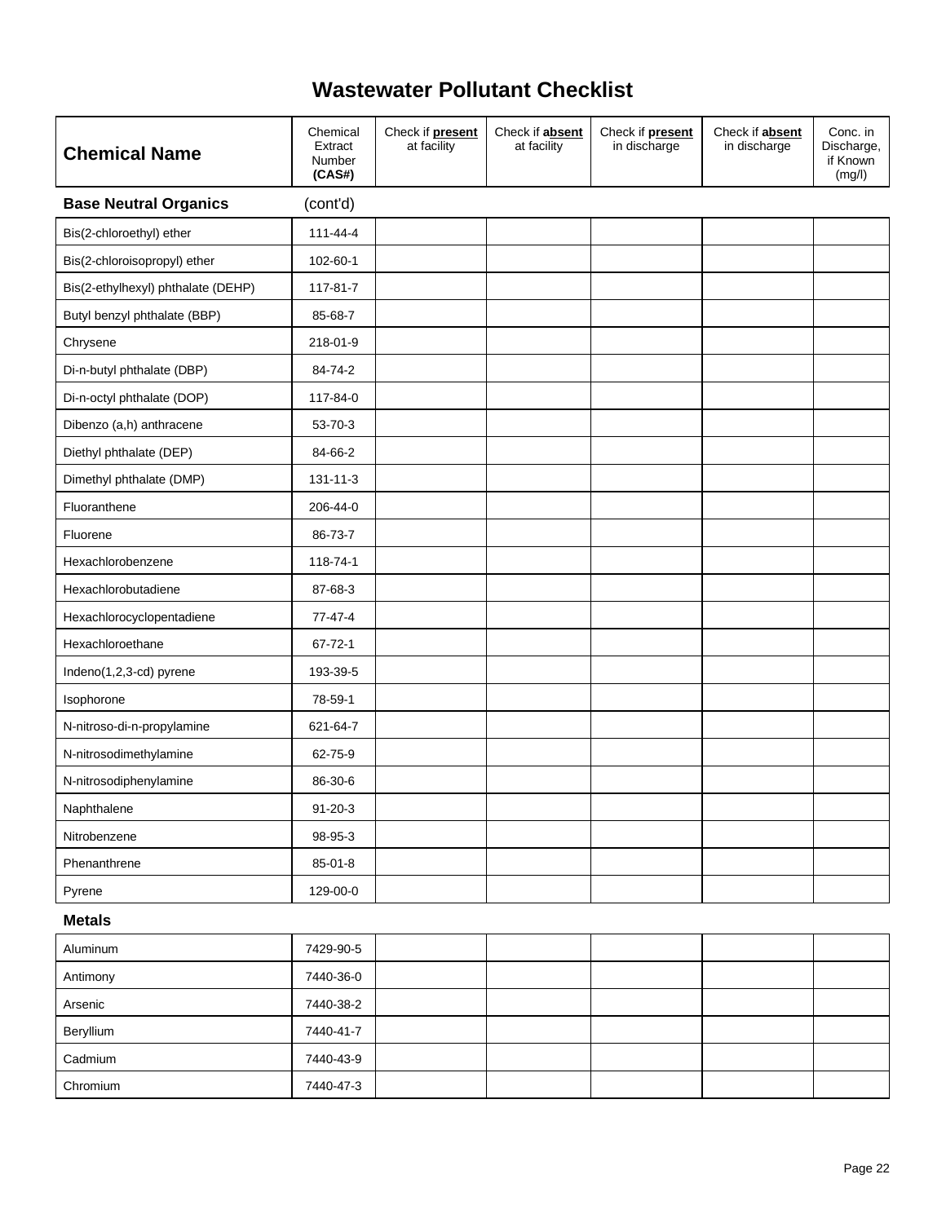| <b>Chemical Name</b>               | Chemical<br>Extract<br>Number<br>(CAS#) | Check if <b>present</b><br>at facility | Check if absent<br>at facility | Check if present<br>in discharge | Check if absent<br>in discharge | Conc. in<br>Discharge,<br>if Known<br>(mg/l) |
|------------------------------------|-----------------------------------------|----------------------------------------|--------------------------------|----------------------------------|---------------------------------|----------------------------------------------|
| <b>Base Neutral Organics</b>       | (cont'd)                                |                                        |                                |                                  |                                 |                                              |
| Bis(2-chloroethyl) ether           | 111-44-4                                |                                        |                                |                                  |                                 |                                              |
| Bis(2-chloroisopropyl) ether       | 102-60-1                                |                                        |                                |                                  |                                 |                                              |
| Bis(2-ethylhexyl) phthalate (DEHP) | 117-81-7                                |                                        |                                |                                  |                                 |                                              |
| Butyl benzyl phthalate (BBP)       | 85-68-7                                 |                                        |                                |                                  |                                 |                                              |
| Chrysene                           | 218-01-9                                |                                        |                                |                                  |                                 |                                              |
| Di-n-butyl phthalate (DBP)         | 84-74-2                                 |                                        |                                |                                  |                                 |                                              |
| Di-n-octyl phthalate (DOP)         | 117-84-0                                |                                        |                                |                                  |                                 |                                              |
| Dibenzo (a,h) anthracene           | 53-70-3                                 |                                        |                                |                                  |                                 |                                              |
| Diethyl phthalate (DEP)            | 84-66-2                                 |                                        |                                |                                  |                                 |                                              |
| Dimethyl phthalate (DMP)           | $131 - 11 - 3$                          |                                        |                                |                                  |                                 |                                              |
| Fluoranthene                       | 206-44-0                                |                                        |                                |                                  |                                 |                                              |
| Fluorene                           | 86-73-7                                 |                                        |                                |                                  |                                 |                                              |
| Hexachlorobenzene                  | 118-74-1                                |                                        |                                |                                  |                                 |                                              |
| Hexachlorobutadiene                | 87-68-3                                 |                                        |                                |                                  |                                 |                                              |
| Hexachlorocyclopentadiene          | $77 - 47 - 4$                           |                                        |                                |                                  |                                 |                                              |
| Hexachloroethane                   | $67 - 72 - 1$                           |                                        |                                |                                  |                                 |                                              |
| Indeno(1,2,3-cd) pyrene            | 193-39-5                                |                                        |                                |                                  |                                 |                                              |
| Isophorone                         | 78-59-1                                 |                                        |                                |                                  |                                 |                                              |
| N-nitroso-di-n-propylamine         | 621-64-7                                |                                        |                                |                                  |                                 |                                              |
| N-nitrosodimethylamine             | 62-75-9                                 |                                        |                                |                                  |                                 |                                              |
| N-nitrosodiphenylamine             | 86-30-6                                 |                                        |                                |                                  |                                 |                                              |
| Naphthalene                        | $91 - 20 - 3$                           |                                        |                                |                                  |                                 |                                              |
| Nitrobenzene                       | 98-95-3                                 |                                        |                                |                                  |                                 |                                              |
| Phenanthrene                       | 85-01-8                                 |                                        |                                |                                  |                                 |                                              |
| Pyrene                             | 129-00-0                                |                                        |                                |                                  |                                 |                                              |
| <b>Metals</b>                      |                                         |                                        |                                |                                  |                                 |                                              |
| Aluminum                           | 7429-90-5                               |                                        |                                |                                  |                                 |                                              |
| Antimony                           | 7440-36-0                               |                                        |                                |                                  |                                 |                                              |
| Arsenic                            | 7440-38-2                               |                                        |                                |                                  |                                 |                                              |
| Beryllium                          | 7440-41-7                               |                                        |                                |                                  |                                 |                                              |
| Cadmium                            | 7440-43-9                               |                                        |                                |                                  |                                 |                                              |

Chromium 7440-47-3

 $\hat{\mathcal{A}}$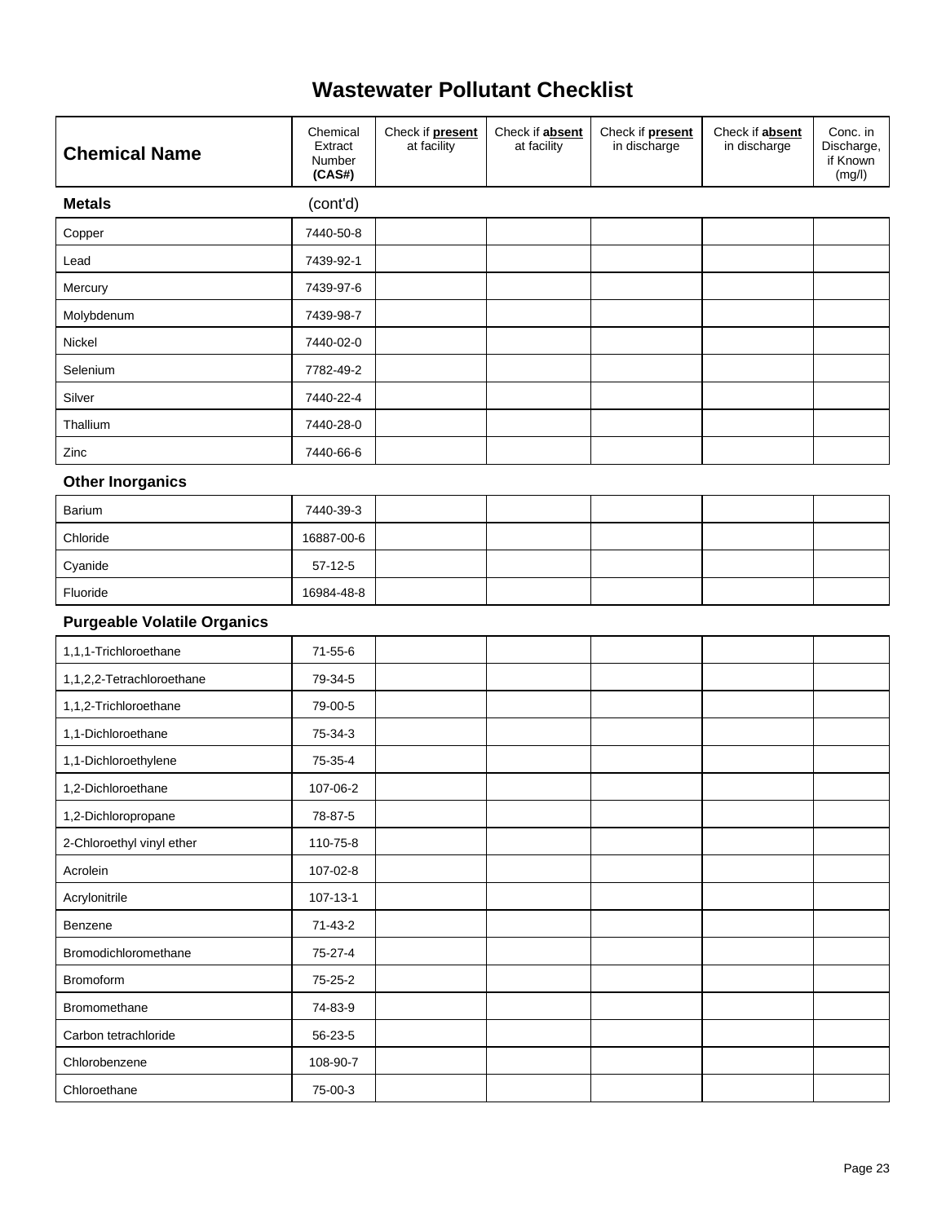$\hat{\mathbf{r}}$ 

| <b>Chemical Name</b>               | Chemical<br>Extract<br>Number<br>(CAS#) | Check if <b>present</b><br>at facility | Check if absent<br>at facility | Check if present<br>in discharge | Check if absent<br>in discharge | Conc. in<br>Discharge,<br>if Known<br>(mg/l) |
|------------------------------------|-----------------------------------------|----------------------------------------|--------------------------------|----------------------------------|---------------------------------|----------------------------------------------|
| <b>Metals</b>                      | (cont'd)                                |                                        |                                |                                  |                                 |                                              |
| Copper                             | 7440-50-8                               |                                        |                                |                                  |                                 |                                              |
| Lead                               | 7439-92-1                               |                                        |                                |                                  |                                 |                                              |
| Mercury                            | 7439-97-6                               |                                        |                                |                                  |                                 |                                              |
| Molybdenum                         | 7439-98-7                               |                                        |                                |                                  |                                 |                                              |
| Nickel                             | 7440-02-0                               |                                        |                                |                                  |                                 |                                              |
| Selenium                           | 7782-49-2                               |                                        |                                |                                  |                                 |                                              |
| Silver                             | 7440-22-4                               |                                        |                                |                                  |                                 |                                              |
| Thallium                           | 7440-28-0                               |                                        |                                |                                  |                                 |                                              |
| Zinc                               | 7440-66-6                               |                                        |                                |                                  |                                 |                                              |
| <b>Other Inorganics</b>            |                                         |                                        |                                |                                  |                                 |                                              |
| Barium                             | 7440-39-3                               |                                        |                                |                                  |                                 |                                              |
| Chloride                           | 16887-00-6                              |                                        |                                |                                  |                                 |                                              |
| Cyanide                            | $57-12-5$                               |                                        |                                |                                  |                                 |                                              |
| Fluoride                           | 16984-48-8                              |                                        |                                |                                  |                                 |                                              |
| <b>Purgeable Volatile Organics</b> |                                         |                                        |                                |                                  |                                 |                                              |
| 1,1,1-Trichloroethane              | $71 - 55 - 6$                           |                                        |                                |                                  |                                 |                                              |
| 1,1,2,2-Tetrachloroethane          | 79-34-5                                 |                                        |                                |                                  |                                 |                                              |
| 1,1,2-Trichloroethane              | 79-00-5                                 |                                        |                                |                                  |                                 |                                              |
| 1,1-Dichloroethane                 | 75-34-3                                 |                                        |                                |                                  |                                 |                                              |
| 1,1-Dichloroethylene               | 75-35-4                                 |                                        |                                |                                  |                                 |                                              |
| 1,2-Dichloroethane                 | 107-06-2                                |                                        |                                |                                  |                                 |                                              |
| 1,2-Dichloropropane                | 78-87-5                                 |                                        |                                |                                  |                                 |                                              |
| 2-Chloroethyl vinyl ether          | 110-75-8                                |                                        |                                |                                  |                                 |                                              |
| Acrolein                           | 107-02-8                                |                                        |                                |                                  |                                 |                                              |
| Acrylonitrile                      | $107 - 13 - 1$                          |                                        |                                |                                  |                                 |                                              |
| Benzene                            | $71-43-2$                               |                                        |                                |                                  |                                 |                                              |
| Bromodichloromethane               | 75-27-4                                 |                                        |                                |                                  |                                 |                                              |
| Bromoform                          | 75-25-2                                 |                                        |                                |                                  |                                 |                                              |
| Bromomethane                       | 74-83-9                                 |                                        |                                |                                  |                                 |                                              |
| Carbon tetrachloride               | 56-23-5                                 |                                        |                                |                                  |                                 |                                              |
| Chlorobenzene                      | 108-90-7                                |                                        |                                |                                  |                                 |                                              |
| Chloroethane                       | 75-00-3                                 |                                        |                                |                                  |                                 |                                              |